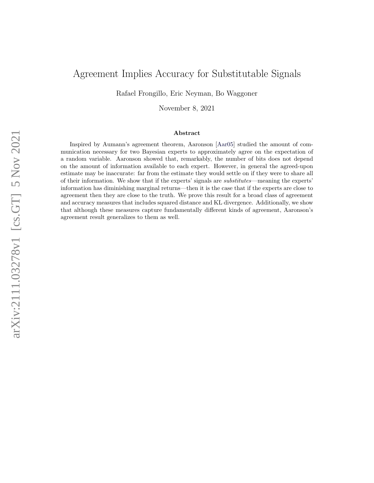# Agreement Implies Accuracy for Substitutable Signals

Rafael Frongillo, Eric Neyman, Bo Waggoner

November 8, 2021

#### Abstract

Inspired by Aumann's agreement theorem, Aaronson [\[Aar05\]](#page-15-0) studied the amount of communication necessary for two Bayesian experts to approximately agree on the expectation of a random variable. Aaronson showed that, remarkably, the number of bits does not depend on the amount of information available to each expert. However, in general the agreed-upon estimate may be inaccurate: far from the estimate they would settle on if they were to share all of their information. We show that if the experts' signals are substitutes—meaning the experts' information has diminishing marginal returns—then it is the case that if the experts are close to agreement then they are close to the truth. We prove this result for a broad class of agreement and accuracy measures that includes squared distance and KL divergence. Additionally, we show that although these measures capture fundamentally different kinds of agreement, Aaronson's agreement result generalizes to them as well.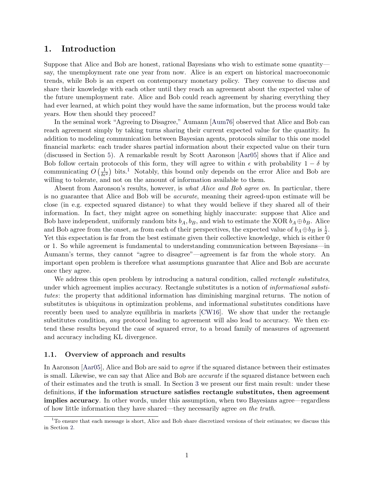### 1. Introduction

Suppose that Alice and Bob are honest, rational Bayesians who wish to estimate some quantity say, the unemployment rate one year from now. Alice is an expert on historical macroeconomic trends, while Bob is an expert on contemporary monetary policy. They convene to discuss and share their knowledge with each other until they reach an agreement about the expected value of the future unemployment rate. Alice and Bob could reach agreement by sharing everything they had ever learned, at which point they would have the same information, but the process would take years. How then should they proceed?

In the seminal work "Agreeing to Disagree," Aumann [\[Aum76\]](#page-16-0) observed that Alice and Bob can reach agreement simply by taking turns sharing their current expected value for the quantity. In addition to modeling communication between Bayesian agents, protocols similar to this one model financial markets: each trader shares partial information about their expected value on their turn (discussed in Section [5\)](#page-15-1). A remarkable result by Scott Aaronson [\[Aar05\]](#page-15-0) shows that if Alice and Bob follow certain protocols of this form, they will agree to within  $\epsilon$  with probability  $1 - \delta$  by communicating  $O\left(\frac{1}{\delta\epsilon^2}\right)$  $O\left(\frac{1}{\delta\epsilon^2}\right)$  $O\left(\frac{1}{\delta\epsilon^2}\right)$  bits.<sup>1</sup> Notably, this bound only depends on the error Alice and Bob are willing to tolerate, and not on the amount of information available to them.

Absent from Aaronson's results, however, is *what Alice and Bob agree on*. In particular, there is no guarantee that Alice and Bob will be accurate, meaning their agreed-upon estimate will be close (in e.g. expected squared distance) to what they would believe if they shared all of their information. In fact, they might agree on something highly inaccurate: suppose that Alice and Bob have independent, uniformly random bits  $b_A$ ,  $b_B$ , and wish to estimate the XOR  $b_A \oplus b_B$ . Alice and Bob agree from the onset, as from each of their perspectives, the expected value of  $b_A \oplus b_B$  is  $\frac{1}{2}$ . Yet this expectation is far from the best estimate given their collective knowledge, which is either 0 or 1. So while agreement is fundamental to understanding communication between Bayesians—in Aumann's terms, they cannot "agree to disagree"—agreement is far from the whole story. An important open problem is therefore what assumptions guarantee that Alice and Bob are accurate once they agree.

We address this open problem by introducing a natural condition, called *rectangle substitutes*, under which agreement implies accuracy. Rectangle substitutes is a notion of *informational substi*tutes: the property that additional information has diminishing marginal returns. The notion of substitutes is ubiquitous in optimization problems, and informational substitutes conditions have recently been used to analyze equilibria in markets [\[CW16\]](#page-16-1). We show that under the rectangle substitutes condition, *any* protocol leading to agreement will also lead to accuracy. We then extend these results beyond the case of squared error, to a broad family of measures of agreement and accuracy including KL divergence.

#### 1.1. Overview of approach and results

In Aaronson [\[Aar05\]](#page-15-0), Alice and Bob are said to *agree* if the squared distance between their estimates is small. Likewise, we can say that Alice and Bob are *accurate* if the squared distance between each of their estimates and the truth is small. In Section [3](#page-6-0) we present our first main result: under these definitions, if the information structure satisfies rectangle substitutes, then agreement implies accuracy. In other words, under this assumption, when two Bayesians agree—regardless of how little information they have shared—they necessarily agree on the truth.

<span id="page-1-0"></span> $1$ To ensure that each message is short. Alice and Bob share discretized versions of their estimates; we discuss this in Section [2.](#page-3-0)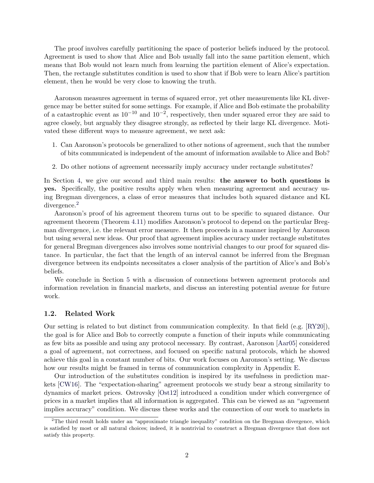The proof involves carefully partitioning the space of posterior beliefs induced by the protocol. Agreement is used to show that Alice and Bob usually fall into the same partition element, which means that Bob would not learn much from learning the partition element of Alice's expectation. Then, the rectangle substitutes condition is used to show that if Bob were to learn Alice's partition element, then he would be very close to knowing the truth.

Aaronson measures agreement in terms of squared error, yet other measurements like KL divergence may be better suited for some settings. For example, if Alice and Bob estimate the probability of a catastrophic event as  $10^{-10}$  and  $10^{-2}$ , respectively, then under squared error they are said to agree closely, but arguably they disagree strongly, as reflected by their large KL divergence. Motivated these different ways to measure agreement, we next ask:

- 1. Can Aaronson's protocols be generalized to other notions of agreement, such that the number of bits communicated is independent of the amount of information available to Alice and Bob?
- 2. Do other notions of agreement necessarily imply accuracy under rectangle substitutes?

In Section [4,](#page-9-0) we give our second and third main results: the answer to both questions is yes. Specifically, the positive results apply when when measuring agreement and accuracy using Bregman divergences, a class of error measures that includes both squared distance and KL divergence.<sup>[2](#page-2-0)</sup>

Aaronson's proof of his agreement theorem turns out to be specific to squared distance. Our agreement theorem (Theorem [4.11\)](#page-12-0) modifies Aaronson's protocol to depend on the particular Bregman divergence, i.e. the relevant error measure. It then proceeds in a manner inspired by Aaronson but using several new ideas. Our proof that agreement implies accuracy under rectangle substitutes for general Bregman divergences also involves some nontrivial changes to our proof for squared distance. In particular, the fact that the length of an interval cannot be inferred from the Bregman divergence between its endpoints necessitates a closer analysis of the partition of Alice's and Bob's beliefs.

We conclude in Section [5](#page-15-1) with a discussion of connections between agreement protocols and information revelation in financial markets, and discuss an interesting potential avenue for future work.

#### 1.2. Related Work

Our setting is related to but distinct from communication complexity. In that field (e.g. [\[RY20\]](#page-16-2)), the goal is for Alice and Bob to correctly compute a function of their inputs while communicating as few bits as possible and using any protocol necessary. By contrast, Aaronson [\[Aar05\]](#page-15-0) considered a goal of agreement, not correctness, and focused on specific natural protocols, which he showed achieve this goal in a constant number of bits. Our work focuses on Aaronson's setting. We discuss how our results might be framed in terms of communication complexity in Appendix [E.](#page-30-0)

Our introduction of the substitutes condition is inspired by its usefulness in prediction markets [\[CW16\]](#page-16-1). The "expectation-sharing" agreement protocols we study bear a strong similarity to dynamics of market prices. Ostrovsky [\[Ost12\]](#page-16-3) introduced a condition under which convergence of prices in a market implies that all information is aggregated. This can be viewed as an "agreement implies accuracy" condition. We discuss these works and the connection of our work to markets in

<span id="page-2-0"></span><sup>&</sup>lt;sup>2</sup>The third result holds under an "approximate triangle inequality" condition on the Bregman divergence, which is satisfied by most or all natural choices; indeed, it is nontrivial to construct a Bregman divergence that does not satisfy this property.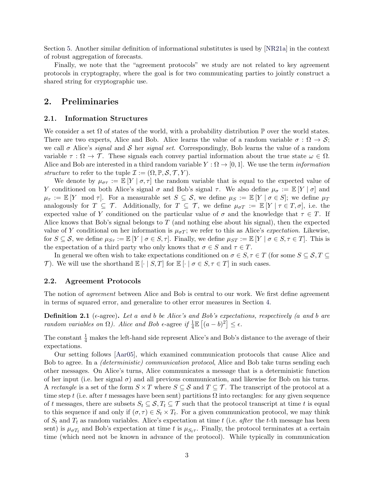Section [5.](#page-15-1) Another similar definition of informational substitutes is used by [\[NR21a\]](#page-16-4) in the context of robust aggregation of forecasts.

Finally, we note that the "agreement protocols" we study are not related to key agreement protocols in cryptography, where the goal is for two communicating parties to jointly construct a shared string for cryptographic use.

### <span id="page-3-0"></span>2. Preliminaries

#### 2.1. Information Structures

We consider a set  $\Omega$  of states of the world, with a probability distribution  $\mathbb P$  over the world states. There are two experts, Alice and Bob. Alice learns the value of a random variable  $\sigma : \Omega \to \mathcal{S}$ ; we call  $\sigma$  Alice's *signal* and S her *signal set*. Correspondingly, Bob learns the value of a random variable  $\tau : \Omega \to \mathcal{T}$ . These signals each convey partial information about the true state  $\omega \in \Omega$ . Alice and Bob are interested in a third random variable  $Y : \Omega \to [0, 1]$ . We use the term *information* structure to refer to the tuple  $\mathcal{I} := (\Omega, \mathbb{P}, \mathcal{S}, \mathcal{T}, Y)$ .

We denote by  $\mu_{\sigma\tau} := \mathbb{E}[Y | \sigma, \tau]$  the random variable that is equal to the expected value of Y conditioned on both Alice's signal  $\sigma$  and Bob's signal  $\tau$ . We also define  $\mu_{\sigma} := \mathbb{E}[Y | \sigma]$  and  $\mu_{\tau} := \mathbb{E}[Y \mod \tau]$ . For a measurable set  $S \subseteq \mathcal{S}$ , we define  $\mu_S := \mathbb{E}[Y \mid \sigma \in S]$ ; we define  $\mu_T$ analogously for  $T \subseteq \mathcal{T}$ . Additionally, for  $T \subseteq \mathcal{T}$ , we define  $\mu_{\sigma T} := \mathbb{E}[Y | \tau \in T, \sigma]$ , i.e. the expected value of Y conditioned on the particular value of  $\sigma$  and the knowledge that  $\tau \in T$ . If Alice knows that Bob's signal belongs to  $T$  (and nothing else about his signal), then the expected value of Y conditional on her information is  $\mu_{\sigma T}$ ; we refer to this as Alice's *expectation*. Likewise, for  $S \subseteq \mathcal{S}$ , we define  $\mu_{S\tau} := \mathbb{E}[Y \mid \sigma \in S, \tau]$ . Finally, we define  $\mu_{ST} := \mathbb{E}[Y \mid \sigma \in S, \tau \in T]$ . This is the expectation of a third party who only knows that  $\sigma \in S$  and  $\tau \in T$ .

In general we often wish to take expectations conditioned on  $\sigma \in S, \tau \in T$  (for some  $S \subseteq S, T \subseteq T$ ) T). We will use the shorthand  $\mathbb{E}[\cdot | S,T]$  for  $\mathbb{E}[\cdot | \sigma \in S, \tau \in T]$  in such cases.

#### <span id="page-3-1"></span>2.2. Agreement Protocols

The notion of *agreement* between Alice and Bob is central to our work. We first define agreement in terms of squared error, and generalize to other error measures in Section [4.](#page-9-0)

**Definition 2.1** ( $\epsilon$ -agree). Let a and b be Alice's and Bob's expectations, respectively (a and b are random variables on  $\Omega$ ). Alice and Bob  $\epsilon$ -agree if  $\frac{1}{4}\mathbb{E}[(a-b)^2] \leq \epsilon$ .

The constant  $\frac{1}{4}$  makes the left-hand side represent Alice's and Bob's distance to the average of their expectations.

Our setting follows [\[Aar05\]](#page-15-0), which examined communication protocols that cause Alice and Bob to agree. In a (deterministic) communication protocol, Alice and Bob take turns sending each other messages. On Alice's turns, Alice communicates a message that is a deterministic function of her input (i.e. her signal  $\sigma$ ) and all previous communication, and likewise for Bob on his turns. A rectangle is a set of the form  $S \times T$  where  $S \subseteq S$  and  $T \subseteq T$ . The transcript of the protocol at a time step t (i.e. after t messages have been sent) partitions  $\Omega$  into rectangles: for any given sequence of t messages, there are subsets  $S_t \subseteq S, T_t \subseteq T$  such that the protocol transcript at time t is equal to this sequence if and only if  $(\sigma, \tau) \in S_t \times T_t$ . For a given communication protocol, we may think of  $S_t$  and  $T_t$  as random variables. Alice's expectation at time t (i.e. after the t-th message has been sent) is  $\mu_{\sigma T_t}$  and Bob's expectation at time t is  $\mu_{S_t\tau}$ . Finally, the protocol terminates at a certain time (which need not be known in advance of the protocol). While typically in communication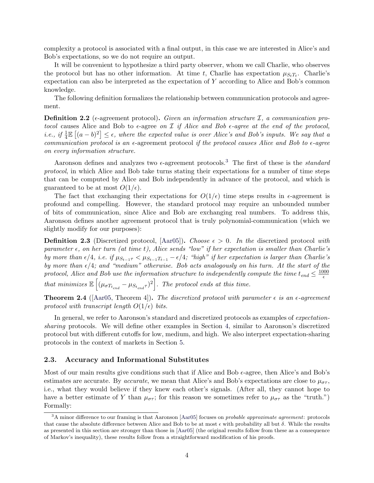complexity a protocol is associated with a final output, in this case we are interested in Alice's and Bob's expectations, so we do not require an output.

It will be convenient to hypothesize a third party observer, whom we call Charlie, who observes the protocol but has no other information. At time t, Charlie has expectation  $\mu_{S_tT_t}$ . Charlie's expectation can also be interpreted as the expectation of Y according to Alice and Bob's common knowledge.

The following definition formalizes the relationship between communication protocols and agreement.

**Definition 2.2** (e-agreement protocol). Given an information structure  $I$ , a communication protocol causes Alice and Bob to  $\epsilon$ -agree on  $\mathcal I$  if Alice and Bob  $\epsilon$ -agree at the end of the protocol, i.e., if  $\frac{1}{4}\mathbb{E}[(a-b)^2] \leq \epsilon$ , where the expected value is over Alice's and Bob's inputs. We say that a communication protocol is an  $\epsilon$ -agreement protocol if the protocol causes Alice and Bob to  $\epsilon$ -agree on every information structure.

Aaronson defines and analyzes two  $\epsilon$ -agreement protocols.<sup>[3](#page-4-0)</sup> The first of these is the *standard* protocol, in which Alice and Bob take turns stating their expectations for a number of time steps that can be computed by Alice and Bob independently in advance of the protocol, and which is guaranteed to be at most  $O(1/\epsilon)$ .

The fact that exchanging their expectations for  $O(1/\epsilon)$  time steps results in  $\epsilon$ -agreement is profound and compelling. However, the standard protocol may require an unbounded number of bits of communication, since Alice and Bob are exchanging real numbers. To address this, Aaronson defines another agreement protocol that is truly polynomial-communication (which we slightly modify for our purposes):

**Definition 2.3** (Discretized protocol, [\[Aar05\]](#page-15-0)). Choose  $\epsilon > 0$ . In the discretized protocol with parameter  $\epsilon$ , on her turn (at time t), Alice sends "low" if her expectation is smaller than Charlie's by more than  $\epsilon/4$ , i.e. if  $\mu_{S_{t-1}\tau} < \mu_{S_{t-1}T_{t-1}} - \epsilon/4$ ; "high" if her expectation is larger than Charlie's by more than  $\epsilon/4$ ; and "medium" otherwise. Bob acts analogously on his turn. At the start of the protocol, Alice and Bob use the information structure to independently compute the time  $t_{end} \leq \frac{1000}{\epsilon}$  $\epsilon$ that minimizes  $\mathbb{E}\left[ (\mu_{\sigma T_{t_{end}}} - \mu_{S_{t_{end}} \tau})^2 \right]$ . The protocol ends at this time.

**Theorem 2.4** ([\[Aar05,](#page-15-0) Theorem 4]). The discretized protocol with parameter  $\epsilon$  is an  $\epsilon$ -agreement protocol with transcript length  $O(1/\epsilon)$  bits.

In general, we refer to Aaronson's standard and discretized protocols as examples of expectationsharing protocols. We will define other examples in Section [4,](#page-9-0) similar to Aaronson's discretized protocol but with different cutoffs for low, medium, and high. We also interpret expectation-sharing protocols in the context of markets in Section [5.](#page-15-1)

#### 2.3. Accuracy and Informational Substitutes

Most of our main results give conditions such that if Alice and Bob  $\epsilon$ -agree, then Alice's and Bob's estimates are accurate. By *accurate*, we mean that Alice's and Bob's expectations are close to  $\mu_{\sigma\tau}$ , i.e., what they would believe if they knew each other's signals. (After all, they cannot hope to have a better estimate of Y than  $\mu_{\sigma\tau}$ ; for this reason we sometimes refer to  $\mu_{\sigma\tau}$  as the "truth.") Formally:

<span id="page-4-0"></span> $3A$  minor difference to our framing is that Aaronson [\[Aar05\]](#page-15-0) focuses on *probable approximate agreement*: protocols that cause the absolute difference between Alice and Bob to be at most  $\epsilon$  with probability all but  $\delta$ . While the results as presented in this section are stronger than those in [\[Aar05\]](#page-15-0) (the original results follow from these as a consequence of Markov's inequality), these results follow from a straightforward modification of his proofs.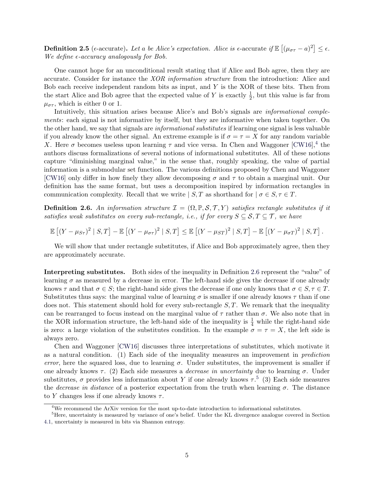**Definition 2.5** ( $\epsilon$ -accurate). Let a be Alice's expectation. Alice is  $\epsilon$ -accurate if  $\mathbb{E}[(\mu_{\sigma\tau} - a)^2] \leq \epsilon$ . We define  $\epsilon$ -accuracy analogously for Bob.

One cannot hope for an unconditional result stating that if Alice and Bob agree, then they are accurate. Consider for instance the XOR information structure from the introduction: Alice and Bob each receive independent random bits as input, and  $Y$  is the XOR of these bits. Then from the start Alice and Bob agree that the expected value of Y is exactly  $\frac{1}{2}$ , but this value is far from  $\mu_{\sigma\tau}$ , which is either 0 or 1.

Intuitively, this situation arises because Alice's and Bob's signals are informational complements: each signal is not informative by itself, but they are informative when taken together. On the other hand, we say that signals are informational substitutes if learning one signal is less valuable if you already know the other signal. An extreme example is if  $\sigma = \tau = X$  for any random variable X. Here  $\sigma$  becomes useless upon learning  $\tau$  and vice versa. In Chen and Waggoner [\[CW16\]](#page-16-1),<sup>[4](#page-5-0)</sup> the authors discuss formalizations of several notions of informational substitutes. All of these notions capture "diminishing marginal value," in the sense that, roughly speaking, the value of partial information is a submodular set function. The various definitions proposed by Chen and Waggoner [\[CW16\]](#page-16-1) only differ in how finely they allow decomposing  $\sigma$  and  $\tau$  to obtain a marginal unit. Our definition has the same format, but uses a decomposition inspired by information rectangles in communication complexity. Recall that we write  $| S, T \text{ as shorthand for } | \sigma \in S, \tau \in T$ .

<span id="page-5-1"></span>**Definition 2.6.** An information structure  $\mathcal{I} = (\Omega, \mathbb{P}, \mathcal{S}, \mathcal{T}, Y)$  satisfies rectangle substitutes if it satisfies weak substitutes on every sub-rectangle, i.e., if for every  $S \subseteq S, T \subseteq T$ , we have

$$
\mathbb{E}\left[\left(Y-\mu_{S\tau}\right)^2 \mid S,T\right] - \mathbb{E}\left[\left(Y-\mu_{\sigma\tau}\right)^2 \mid S,T\right] \leq \mathbb{E}\left[\left(Y-\mu_{ST}\right)^2 \mid S,T\right] - \mathbb{E}\left[\left(Y-\mu_{\sigma T}\right)^2 \mid S,T\right].
$$

We will show that under rectangle substitutes, if Alice and Bob approximately agree, then they are approximately accurate.

Interpreting substitutes. Both sides of the inequality in Definition [2.6](#page-5-1) represent the "value" of learning  $\sigma$  as measured by a decrease in error. The left-hand side gives the decrease if one already knows  $\tau$  and that  $\sigma \in S$ ; the right-hand side gives the decrease if one only knows that  $\sigma \in S$ ,  $\tau \in T$ . Substitutes thus says: the marginal value of learning  $\sigma$  is smaller if one already knows  $\tau$  than if one does not. This statement should hold for every sub-rectangle  $S, T$ . We remark that the inequality can be rearranged to focus instead on the marginal value of  $\tau$  rather than  $\sigma$ . We also note that in the XOR information structure, the left-hand side of the inequality is  $\frac{1}{4}$  while the right-hand side is zero: a large violation of the substitutes condition. In the example  $\sigma = \tau = X$ , the left side is always zero.

Chen and Waggoner [\[CW16\]](#page-16-1) discusses three interpretations of substitutes, which motivate it as a natural condition. (1) Each side of the inequality measures an improvement in prediction error, here the squared loss, due to learning  $\sigma$ . Under substitutes, the improvement is smaller if one already knows  $\tau$ . (2) Each side measures a *decrease in uncertainty* due to learning  $\sigma$ . Under substitutes,  $\sigma$  provides less information about Y if one already knows  $\tau$ <sup>[5](#page-5-2)</sup> (3) Each side measures the *decrease in distance* of a posterior expectation from the truth when learning  $\sigma$ . The distance to Y changes less if one already knows  $\tau$ .

<span id="page-5-2"></span><span id="page-5-0"></span><sup>4</sup>We recommend the ArXiv version for the most up-to-date introduction to informational substitutes.

<sup>&</sup>lt;sup>5</sup>Here, uncertainty is measured by variance of one's belief. Under the KL divergence analogue covered in Section [4.1,](#page-10-0) uncertainty is measured in bits via Shannon entropy.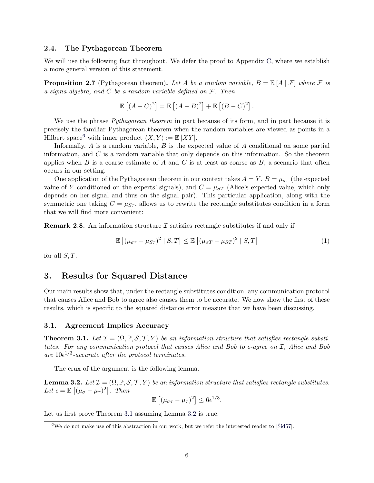#### 2.4. The Pythagorean Theorem

We will use the following fact throughout. We defer the proof to Appendix [C,](#page-19-0) where we establish a more general version of this statement.

<span id="page-6-5"></span>**Proposition 2.7** (Pythagorean theorem). Let A be a random variable,  $B = \mathbb{E}[A | \mathcal{F}]$  where F is a sigma-algebra, and  $C$  be a random variable defined on  $\mathcal{F}$ . Then

$$
\mathbb{E}[(A-C)^2] = \mathbb{E}[(A-B)^2] + \mathbb{E}[(B-C)^2].
$$

We use the phrase *Pythagorean theorem* in part because of its form, and in part because it is precisely the familiar Pythagorean theorem when the random variables are viewed as points in a Hilbert space<sup>[6](#page-6-1)</sup> with inner product  $\langle X, Y \rangle := \mathbb{E} [XY]$ .

Informally,  $A$  is a random variable,  $B$  is the expected value of  $A$  conditional on some partial information, and  $C$  is a random variable that only depends on this information. So the theorem applies when  $B$  is a coarse estimate of  $A$  and  $C$  is at least as coarse as  $B$ , a scenario that often occurs in our setting.

One application of the Pythagorean theorem in our context takes  $A = Y, B = \mu_{\sigma\tau}$  (the expected value of Y conditioned on the experts' signals), and  $C = \mu_{\sigma T}$  (Alice's expected value, which only depends on her signal and thus on the signal pair). This particular application, along with the symmetric one taking  $C = \mu_{S_{\tau}}$ , allows us to rewrite the rectangle substitutes condition in a form that we will find more convenient:

**Remark 2.8.** An information structure  $\mathcal I$  satisfies rectangle substitutes if and only if

<span id="page-6-4"></span>
$$
\mathbb{E}\left[\left(\mu_{\sigma\tau} - \mu_{S\tau}\right)^2 \mid S, T\right] \le \mathbb{E}\left[\left(\mu_{\sigma T} - \mu_{ST}\right)^2 \mid S, T\right] \tag{1}
$$

for all  $S$ ,  $T$ .

### <span id="page-6-0"></span>3. Results for Squared Distance

Our main results show that, under the rectangle substitutes condition, any communication protocol that causes Alice and Bob to agree also causes them to be accurate. We now show the first of these results, which is specific to the squared distance error measure that we have been discussing.

#### 3.1. Agreement Implies Accuracy

<span id="page-6-2"></span>**Theorem 3.1.** Let  $\mathcal{I} = (\Omega, \mathbb{P}, \mathcal{S}, \mathcal{T}, Y)$  be an information structure that satisfies rectangle substitutes. For any communication protocol that causes Alice and Bob to  $\epsilon$ -agree on  $\mathcal{I}$ , Alice and Bob are  $10e^{1/3}$ -accurate after the protocol terminates.

The crux of the argument is the following lemma.

<span id="page-6-3"></span>**Lemma 3.2.** Let  $\mathcal{I} = (\Omega, \mathbb{P}, \mathcal{S}, \mathcal{T}, Y)$  be an information structure that satisfies rectangle substitutes. Let  $\epsilon = \mathbb{E} \left[ (\mu_{\sigma} - \mu_{\tau})^2 \right]$ . Then

 $\mathbb{E}\left[ (\mu_{\sigma\tau} - \mu_{\tau})^2 \right] \leq 6\epsilon^{1/3}.$ 

Let us first prove Theorem [3.1](#page-6-2) assuming Lemma [3.2](#page-6-3) is true.

<span id="page-6-1"></span> $6$ We do not make use of this abstraction in our work, but we refer the interested reader to [ $\tilde{\rm S}$ id57].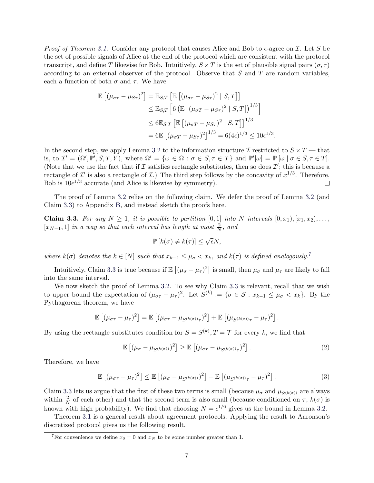*Proof of Theorem [3.1.](#page-6-2)* Consider any protocol that causes Alice and Bob to  $\epsilon$ -agree on  $\mathcal{I}$ . Let S be the set of possible signals of Alice at the end of the protocol which are consistent with the protocol transcript, and define T likewise for Bob. Intuitively,  $S \times T$  is the set of plausible signal pairs  $(\sigma, \tau)$ according to an external observer of the protocol. Observe that  $S$  and  $T$  are random variables, each a function of both  $\sigma$  and  $\tau$ . We have

$$
\mathbb{E}\left[(\mu_{\sigma\tau} - \mu_{S\tau})^2\right] = \mathbb{E}_{S,T}\left[\mathbb{E}\left[(\mu_{\sigma\tau} - \mu_{S\tau})^2 \mid S,T\right]\right]
$$
  
\n
$$
\leq \mathbb{E}_{S,T}\left[6\left(\mathbb{E}\left[(\mu_{\sigma T} - \mu_{S\tau})^2 \mid S,T\right]\right)^{1/3}\right]
$$
  
\n
$$
\leq 6\mathbb{E}_{S,T}\left[\mathbb{E}\left[(\mu_{\sigma T} - \mu_{S\tau})^2 \mid S,T\right]\right]^{1/3}
$$
  
\n
$$
= 6\mathbb{E}\left[(\mu_{\sigma T} - \mu_{S\tau})^2\right]^{1/3} = 6(4\epsilon)^{1/3} \leq 10\epsilon^{1/3}.
$$

In the second step, we apply Lemma [3.2](#page-6-3) to the information structure  $\mathcal I$  restricted to  $S \times T$  — that is, to  $\mathcal{I}' = (\Omega', \mathbb{P}', S, T, Y)$ , where  $\Omega' = {\omega \in \Omega : \sigma \in S, \tau \in T}$  and  $\mathbb{P}'[\omega] = \mathbb{P}[\omega | \sigma \in S, \tau \in T]$ . (Note that we use the fact that if  $\mathcal I$  satisfies rectangle substitutes, then so does  $\mathcal I'$ ; this is because a rectangle of  $\mathcal{I}'$  is also a rectangle of  $\mathcal{I}$ .) The third step follows by the concavity of  $x^{1/3}$ . Therefore, Bob is  $10e^{1/3}$  accurate (and Alice is likewise by symmetry).  $\Box$ 

The proof of Lemma [3.2](#page-6-3) relies on the following claim. We defer the proof of Lemma [3.2](#page-6-3) (and Claim [3.3\)](#page-7-0) to Appendix [B,](#page-17-0) and instead sketch the proofs here.

<span id="page-7-0"></span>**Claim 3.3.** For any  $N \geq 1$ , it is possible to partition [0, 1] into N intervals  $[0, x_1), [x_1, x_2), \ldots,$  $[x_{N-1},1]$  in a way so that each interval has length at most  $\frac{2}{N}$ , and

$$
\mathbb{P}[k(\sigma) \neq k(\tau)] \leq \sqrt{\epsilon}N,
$$

where  $k(\sigma)$  denotes the  $k \in [N]$  such that  $x_{k-1} \leq \mu_{\sigma} < x_k$ , and  $k(\tau)$  is defined analogously.<sup>[7](#page-7-1)</sup>

Intuitively, Claim [3.3](#page-7-0) is true because if  $\mathbb{E}[(\mu_{\sigma}-\mu_{\tau})^2]$  is small, then  $\mu_{\sigma}$  and  $\mu_{\tau}$  are likely to fall into the same interval.

We now sketch the proof of Lemma [3.2.](#page-6-3) To see why Claim [3.3](#page-7-0) is relevant, recall that we wish to upper bound the expectation of  $(\mu_{\sigma\tau} - \mu_{\tau})^2$ . Let  $S^{(k)} := {\sigma \in S : x_{k-1} \leq \mu_{\sigma} < x_k}$ . By the Pythagorean theorem, we have

$$
\mathbb{E}\left[ (\mu_{\sigma\tau} - \mu_{\tau})^2 \right] = \mathbb{E}\left[ (\mu_{\sigma\tau} - \mu_{S^{(k(\sigma))}\tau})^2 \right] + \mathbb{E}\left[ (\mu_{S^{(k(\sigma))}\tau} - \mu_{\tau})^2 \right].
$$

By using the rectangle substitutes condition for  $S = S^{(k)}$ ,  $T = \mathcal{T}$  for every k, we find that

<span id="page-7-2"></span>
$$
\mathbb{E}\left[\left(\mu_{\sigma}-\mu_{S^{(k(\sigma))}}\right)^2\right] \geq \mathbb{E}\left[\left(\mu_{\sigma\tau}-\mu_{S^{(k(\sigma))}\tau}\right)^2\right].\tag{2}
$$

Therefore, we have

<span id="page-7-3"></span>
$$
\mathbb{E}\left[\left(\mu_{\sigma\tau}-\mu_{\tau}\right)^{2}\right] \leq \mathbb{E}\left[\left(\mu_{\sigma}-\mu_{S^{(k(\sigma))}}\right)^{2}\right] + \mathbb{E}\left[\left(\mu_{S^{(k(\sigma))}\tau}-\mu_{\tau}\right)^{2}\right].\tag{3}
$$

Claim [3.3](#page-7-0) lets us argue that the first of these two terms is small (because  $\mu_{\sigma}$  and  $\mu_{S^{(k(\sigma))}}$  are always within  $\frac{2}{N}$  of each other) and that the second term is also small (because conditioned on  $\tau$ ,  $k(\sigma)$  is known with high probability). We find that choosing  $N = \epsilon^{1/6}$  gives us the bound in Lemma [3.2.](#page-6-3)

Theorem [3.1](#page-6-2) is a general result about agreement protocols. Applying the result to Aaronson's discretized protocol gives us the following result.

<span id="page-7-1"></span><sup>&</sup>lt;sup>7</sup>For convenience we define  $x_0 = 0$  and  $x_N$  to be some number greater than 1.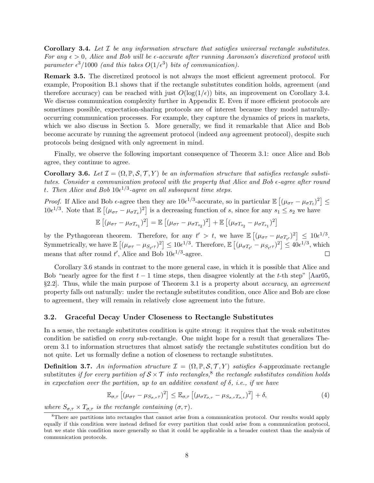<span id="page-8-0"></span>**Corollary 3.4.** Let  $\mathcal{I}$  be any information structure that satisfies universal rectangle substitutes. For any  $\epsilon > 0$ , Alice and Bob will be  $\epsilon$ -accurate after running Aaronson's discretized protocol with parameter  $\epsilon^3/1000$  (and this takes  $O(1/\epsilon^3)$  bits of communication).

Remark 3.5. The discretized protocol is not always the most efficient agreement protocol. For example, Proposition [B.1](#page-19-1) shows that if the rectangle substitutes condition holds, agreement (and therefore accuracy) can be reached with just  $O(\log(1/\epsilon))$  bits, an improvement on Corollary [3.4.](#page-8-0) We discuss communication complexity further in Appendix [E.](#page-30-0) Even if more efficient protocols are sometimes possible, expectation-sharing protocols are of interest because they model naturallyoccurring communication processes. For example, they capture the dynamics of prices in markets, which we also discuss in Section [5.](#page-15-1) More generally, we find it remarkable that Alice and Bob become accurate by running the agreement protocol (indeed any agreement protocol), despite such protocols being designed with only agreement in mind.

Finally, we observe the following important consequence of Theorem [3.1:](#page-6-2) once Alice and Bob agree, they continue to agree.

<span id="page-8-1"></span>**Corollary 3.6.** Let  $\mathcal{I} = (\Omega, \mathbb{P}, \mathcal{S}, \mathcal{T}, Y)$  be an information structure that satisfies rectangle substitutes. Consider a communication protocol with the property that Alice and Bob  $\epsilon$ -agree after round t. Then Alice and Bob  $10\epsilon^{1/3}$ -agree on all subsequent time steps.

Proof. If Alice and Bob  $\epsilon$ -agree then they are  $10\epsilon^{1/3}$ -accurate, so in particular  $\mathbb{E}[(\mu_{\sigma\tau} - \mu_{\sigma T_t})^2] \leq$  $10e^{1/3}$ . Note that  $\mathbb{E}[(\mu_{\sigma\tau} - \mu_{\sigma T_s})^2]$  is a decreasing function of s, since for any  $s_1 \leq s_2$  we have

$$
\mathbb{E}\left[\left(\mu_{\sigma\tau}-\mu_{\sigma T_{s_1}}\right)^2\right] = \mathbb{E}\left[\left(\mu_{\sigma\tau}-\mu_{\sigma T_{s_2}}\right)^2\right] + \mathbb{E}\left[\left(\mu_{\sigma T_{s_2}}-\mu_{\sigma T_{s_1}}\right)^2\right]
$$

by the Pythagorean theorem. Therefore, for any  $t' > t$ , we have  $\mathbb{E}[(\mu_{\sigma\tau} - \mu_{\sigma T_{t'}})^2] \leq 10\epsilon^{1/3}$ . Symmetrically, we have  $\mathbb{E} \left[ (\mu_{\sigma\tau} - \mu_{S_{t'}\tau})^2 \right] \leq 10 \epsilon^{1/3}$ . Therefore,  $\mathbb{E} \left[ (\mu_{\sigma T_{t'}} - \mu_{S_{t'}\tau})^2 \right] \leq 40 \epsilon^{1/3}$ , which means that after round t', Alice and Bob  $10e^{1/3}$ -agree.  $\Box$ 

Corollary [3.6](#page-8-1) stands in contrast to the more general case, in which it is possible that Alice and Bob "nearly agree for the first  $t - 1$  time steps, then disagree violently at the t-th step" [\[Aar05,](#page-15-0)  $\S2.2$ . Thus, while the main purpose of Theorem [3.1](#page-6-2) is a property about *accuracy*, an *agreement* property falls out naturally: under the rectangle substitutes condition, once Alice and Bob are close to agreement, they will remain in relatively close agreement into the future.

### 3.2. Graceful Decay Under Closeness to Rectangle Substitutes

In a sense, the rectangle substitutes condition is quite strong: it requires that the weak substitutes condition be satisfied on every sub-rectangle. One might hope for a result that generalizes Theorem [3.1](#page-6-2) to information structures that almost satisfy the rectangle substitutes condition but do not quite. Let us formally define a notion of closeness to rectangle substitutes.

**Definition 3.7.** An information structure  $\mathcal{I} = (\Omega, \mathbb{P}, \mathcal{S}, \mathcal{T}, Y)$  satisfies  $\delta$ -approximate rectangle substitutes if for every partition of  $S \times T$  into rectangles,<sup>[8](#page-8-2)</sup> the rectangle substitutes condition holds in expectation over the partition, up to an additive constant of  $\delta$ , i.e., if we have

<span id="page-8-3"></span>
$$
\mathbb{E}_{\sigma,\tau}\left[ (\mu_{\sigma\tau} - \mu_{S_{\sigma,\tau}\tau})^2 \right] \leq \mathbb{E}_{\sigma,\tau}\left[ (\mu_{\sigma T_{\sigma,\tau}} - \mu_{S_{\sigma,\tau}T_{\sigma,\tau}})^2 \right] + \delta, \tag{4}
$$

where  $S_{\sigma,\tau} \times T_{\sigma,\tau}$  is the rectangle containing  $(\sigma,\tau)$ .

<span id="page-8-2"></span><sup>&</sup>lt;sup>8</sup>There are partitions into rectangles that cannot arise from a communication protocol. Our results would apply equally if this condition were instead defined for every partition that could arise from a communication protocol, but we state this condition more generally so that it could be applicable in a broader context than the analysis of communication protocols.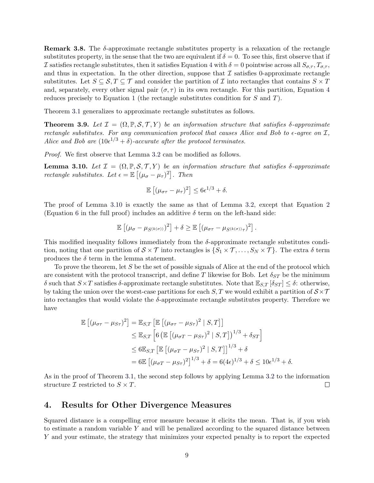**Remark 3.8.** The  $\delta$ -approximate rectangle substitutes property is a relaxation of the rectangle substitutes property, in the sense that the two are equivalent if  $\delta = 0$ . To see this, first observe that if I satisfies rectangle substitutes, then it satisfies Equation [4](#page-8-3) with  $\delta = 0$  pointwise across all  $S_{\sigma,\tau}$ ,  $T_{\sigma,\tau}$ , and thus in expectation. In the other direction, suppose that  $\mathcal I$  satisfies 0-approximate rectangle substitutes. Let  $S \subseteq \mathcal{S}, T \subseteq \mathcal{T}$  and consider the partition of  $\mathcal{I}$  into rectangles that contains  $S \times T$ and, separately, every other signal pair  $(\sigma, \tau)$  in its own rectangle. For this partition, Equation [4](#page-8-3) reduces precisely to Equation [1](#page-6-4) (the rectangle substitutes condition for S and T).

Theorem [3.1](#page-6-2) generalizes to approximate rectangle substitutes as follows.

**Theorem 3.9.** Let  $\mathcal{I} = (\Omega, \mathbb{P}, \mathcal{S}, \mathcal{T}, Y)$  be an information structure that satisfies  $\delta$ -approximate rectangle substitutes. For any communication protocol that causes Alice and Bob to  $\epsilon$ -agree on  $\mathcal{I}$ , Alice and Bob are  $(10e^{1/3} + \delta)$ -accurate after the protocol terminates.

Proof. We first observe that Lemma [3.2](#page-6-3) can be modified as follows.

<span id="page-9-1"></span>**Lemma 3.10.** Let  $\mathcal{I} = (\Omega, \mathbb{P}, \mathcal{S}, \mathcal{T}, Y)$  be an information structure that satisfies  $\delta$ -approximate rectangle substitutes. Let  $\epsilon = \mathbb{E} \left[ (\mu_{\sigma} - \mu_{\tau})^2 \right]$ . Then

$$
\mathbb{E}\left[ (\mu_{\sigma\tau} - \mu_{\tau})^2 \right] \leq 6\epsilon^{1/3} + \delta.
$$

The proof of Lemma [3.10](#page-9-1) is exactly the same as that of Lemma [3.2,](#page-6-3) except that Equation [2](#page-7-2) (Equation [6](#page-18-0) in the full proof) includes an additive  $\delta$  term on the left-hand side:

$$
\mathbb{E}\left[\left(\mu_{\sigma}-\mu_{S^{(k(\sigma))}}\right)^2\right]+\delta\geq \mathbb{E}\left[\left(\mu_{\sigma\tau}-\mu_{S^{(k(\sigma))}\tau}\right)^2\right].
$$

This modified inequality follows immediately from the  $\delta$ -approximate rectangle substitutes condition, noting that one partition of  $S \times \mathcal{T}$  into rectangles is  $\{S_1 \times \mathcal{T}, \ldots, S_N \times \mathcal{T}\}\.$  The extra  $\delta$  term produces the  $\delta$  term in the lemma statement.

To prove the theorem, let S be the set of possible signals of Alice at the end of the protocol which are consistent with the protocol transcript, and define T likewise for Bob. Let  $\delta_{ST}$  be the minimum δ such that  $S \times T$  satisfies δ-approximate rectangle substitutes. Note that  $\mathbb{E}_{S,T}$  [δ $_{ST}$ ]  $\leq \delta$ : otherwise, by taking the union over the worst-case partitions for each  $S, T$  we would exhibit a partition of  $S \times T$ into rectangles that would violate the δ-approximate rectangle substitutes property. Therefore we have

$$
\mathbb{E}\left[\left(\mu_{\sigma\tau} - \mu_{S\tau}\right)^2\right] = \mathbb{E}_{S,T}\left[\mathbb{E}\left[\left(\mu_{\sigma\tau} - \mu_{S\tau}\right)^2 \mid S,T\right]\right]
$$
  
\n
$$
\leq \mathbb{E}_{S,T}\left[6\left(\mathbb{E}\left[\left(\mu_{\sigma T} - \mu_{S\tau}\right)^2 \mid S,T\right]\right)^{1/3} + \delta_{ST}\right]
$$
  
\n
$$
\leq 6\mathbb{E}_{S,T}\left[\mathbb{E}\left[\left(\mu_{\sigma T} - \mu_{S\tau}\right)^2 \mid S,T\right]\right]^{1/3} + \delta
$$
  
\n
$$
= 6\mathbb{E}\left[\left(\mu_{\sigma T} - \mu_{S\tau}\right)^2\right]^{1/3} + \delta = 6(4\epsilon)^{1/3} + \delta \leq 10\epsilon^{1/3} + \delta.
$$

As in the proof of Theorem [3.1,](#page-6-2) the second step follows by applying Lemma [3.2](#page-6-3) to the information structure  $\mathcal I$  restricted to  $S \times T$ .  $\Box$ 

### <span id="page-9-0"></span>4. Results for Other Divergence Measures

Squared distance is a compelling error measure because it elicits the mean. That is, if you wish to estimate a random variable  $Y$  and will be penalized according to the squared distance between Y and your estimate, the strategy that minimizes your expected penalty is to report the expected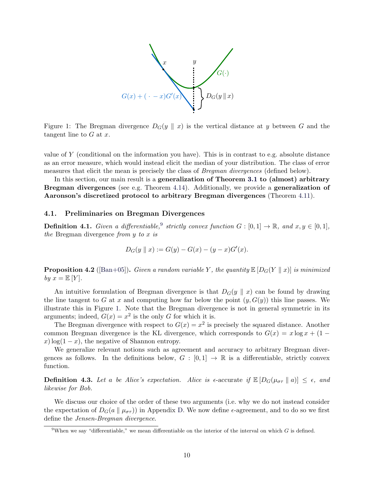

<span id="page-10-2"></span>Figure 1: The Bregman divergence  $D_G(y \parallel x)$  is the vertical distance at y between G and the tangent line to  $G$  at  $x$ .

value of Y (conditional on the information you have). This is in contrast to e.g. absolute distance as an error measure, which would instead elicit the median of your distribution. The class of error measures that elicit the mean is precisely the class of *Bregman divergences* (defined below).

In this section, our main result is a generalization of Theorem [3.1](#page-6-2) to (almost) arbitrary Bregman divergences (see e.g. Theorem [4.14\)](#page-13-0). Additionally, we provide a generalization of Aaronson's discretized protocol to arbitrary Bregman divergences (Theorem [4.11\)](#page-12-0).

#### <span id="page-10-0"></span>4.1. Preliminaries on Bregman Divergences

**Definition 4.1.** Given a differentiable,<sup>[9](#page-10-1)</sup> strictly convex function  $G : [0,1] \to \mathbb{R}$ , and  $x, y \in [0,1]$ , the Bregman divergence from  $y$  to  $x$  is

$$
D_G(y \parallel x) := G(y) - G(x) - (y - x)G'(x).
$$

<span id="page-10-3"></span>**Proposition 4.2** ([\[Ban+05\]](#page-16-6)). Given a random variable Y, the quantity  $\mathbb{E}[D_G(Y \parallel x)]$  is minimized by  $x = \mathbb{E}[Y]$ .

An intuitive formulation of Bregman divergence is that  $D_G(y \parallel x)$  can be found by drawing the line tangent to G at x and computing how far below the point  $(y, G(y))$  this line passes. We illustrate this in Figure [1.](#page-10-2) Note that the Bregman divergence is not in general symmetric in its arguments; indeed,  $G(x) = x^2$  is the only G for which it is.

The Bregman divergence with respect to  $G(x) = x^2$  is precisely the squared distance. Another common Bregman divergence is the KL divergence, which corresponds to  $G(x) = x \log x + (1$  $x)$  log(1 – x), the negative of Shannon entropy.

We generalize relevant notions such as agreement and accuracy to arbitrary Bregman divergences as follows. In the definitions below,  $G : [0,1] \to \mathbb{R}$  is a differentiable, strictly convex function.

**Definition 4.3.** Let a be Alice's expectation. Alice is  $\epsilon$ -accurate if  $\mathbb{E}[D_G(\mu_{\sigma\tau} \parallel a)] \leq \epsilon$ , and likewise for Bob.

We discuss our choice of the order of these two arguments (i.e. why we do not instead consider the expectation of  $D_G(a \parallel \mu_{\sigma\tau})$  in Appendix [D.](#page-28-0) We now define  $\epsilon$ -agreement, and to do so we first define the Jensen-Bregman divergence.

<span id="page-10-1"></span><sup>&</sup>lt;sup>9</sup>When we say "differentiable," we mean differentiable on the interior of the interval on which G is defined.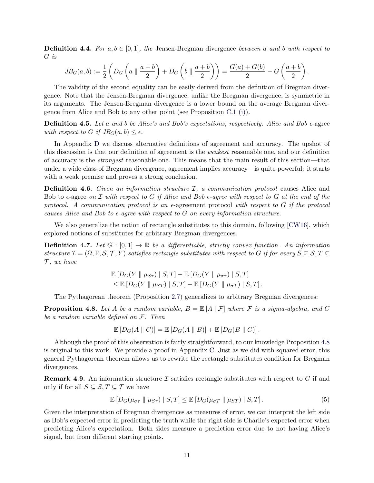**Definition 4.4.** For  $a, b \in [0, 1]$ , the Jensen-Bregman divergence between a and b with respect to G is

$$
JB_G(a,b) := \frac{1}{2} \left( D_G \left( a \parallel \frac{a+b}{2} \right) + D_G \left( b \parallel \frac{a+b}{2} \right) \right) = \frac{G(a)+G(b)}{2} - G \left( \frac{a+b}{2} \right).
$$

The validity of the second equality can be easily derived from the definition of Bregman divergence. Note that the Jensen-Bregman divergence, unlike the Bregman divergence, is symmetric in its arguments. The Jensen-Bregman divergence is a lower bound on the average Bregman divergence from Alice and Bob to any other point (see Proposition [C.1](#page-19-2) [\(i\)\)](#page-19-3).

**Definition 4.5.** Let a and b be Alice's and Bob's expectations, respectively. Alice and Bob  $\epsilon$ -agree with respect to G if  $JB_G(a, b) \leq \epsilon$ .

In Appendix [D](#page-28-0) we discuss alternative definitions of agreement and accuracy. The upshot of this discussion is that our definition of agreement is the weakest reasonable one, and our definition of accuracy is the strongest reasonable one. This means that the main result of this section—that under a wide class of Bregman divergence, agreement implies accuracy—is quite powerful: it starts with a weak premise and proves a strong conclusion.

**Definition 4.6.** Given an information structure  $I$ , a communication protocol causes Alice and Bob to  $\epsilon$ -agree on  $\mathcal I$  with respect to G if Alice and Bob  $\epsilon$ -agree with respect to G at the end of the protocol. A communication protocol is an  $\epsilon$ -agreement protocol with respect to G if the protocol causes Alice and Bob to  $\epsilon$ -agree with respect to G on every information structure.

We also generalize the notion of rectangle substitutes to this domain, following [\[CW16\]](#page-16-1), which explored notions of substitutes for arbitrary Bregman divergences.

**Definition 4.7.** Let  $G : [0,1] \to \mathbb{R}$  be a differentiable, strictly convex function. An information structure  $\mathcal{I} = (\Omega, \mathbb{P}, \mathcal{S}, \mathcal{T}, Y)$  satisfies rectangle substitutes with respect to G if for every  $S \subseteq \mathcal{S}, T \subseteq$  $\mathcal{T}$ , we have

$$
\mathbb{E}\left[D_G(Y \parallel \mu_{S\tau}) \mid S,T\right] - \mathbb{E}\left[D_G(Y \parallel \mu_{\sigma\tau}) \mid S,T\right] \leq \mathbb{E}\left[D_G(Y \parallel \mu_{ST}) \mid S,T\right] - \mathbb{E}\left[D_G(Y \parallel \mu_{\sigma T}) \mid S,T\right].
$$

The Pythagorean theorem (Proposition [2.7\)](#page-6-5) generalizes to arbitrary Bregman divergences:

<span id="page-11-0"></span>**Proposition 4.8.** Let A be a random variable,  $B = \mathbb{E}[A | \mathcal{F}]$  where F is a sigma-algebra, and C be a random variable defined on F. Then

$$
\mathbb{E}[D_G(A \parallel C)] = \mathbb{E}[D_G(A \parallel B)] + \mathbb{E}[D_G(B \parallel C)].
$$

Although the proof of this observation is fairly straightforward, to our knowledge Proposition [4.8](#page-11-0) is original to this work. We provide a proof in Appendix [C.](#page-19-0) Just as we did with squared error, this general Pythagorean theorem allows us to rewrite the rectangle substitutes condition for Bregman divergences.

**Remark 4.9.** An information structure  $\mathcal I$  satisfies rectangle substitutes with respect to  $G$  if and only if for all  $S \subseteq \mathcal{S}, T \subseteq \mathcal{T}$  we have

<span id="page-11-1"></span>
$$
\mathbb{E}\left[D_G(\mu_{\sigma\tau} \parallel \mu_{S\tau}) \mid S,T\right] \leq \mathbb{E}\left[D_G(\mu_{\sigma T} \parallel \mu_{ST}) \mid S,T\right].\tag{5}
$$

Given the interpretation of Bregman divergences as measures of error, we can interpret the left side as Bob's expected error in predicting the truth while the right side is Charlie's expected error when predicting Alice's expectation. Both sides measure a prediction error due to not having Alice's signal, but from different starting points.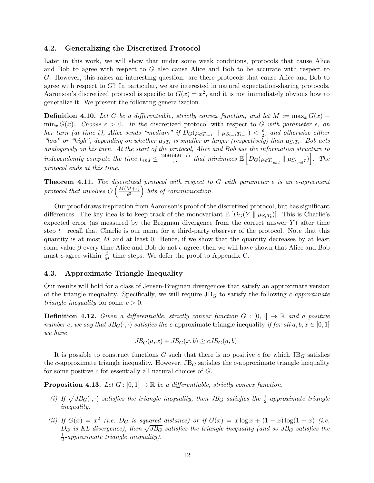#### 4.2. Generalizing the Discretized Protocol

Later in this work, we will show that under some weak conditions, protocols that cause Alice and Bob to agree with respect to G also cause Alice and Bob to be accurate with respect to G. However, this raises an interesting question: are there protocols that cause Alice and Bob to agree with respect to G? In particular, we are interested in natural expectation-sharing protocols. Aaronson's discretized protocol is specific to  $G(x) = x^2$ , and it is not immediately obvious how to generalize it. We present the following generalization.

**Definition 4.10.** Let G be a differentiable, strictly convex function, and let  $M := \max_x G(x)$  $\min_x G(x)$ . Choose  $\epsilon > 0$ . In the discretized protocol with respect to G with parameter  $\epsilon$ , on her turn (at time t), Alice sends "medium" if  $D_G(\mu_{\sigma T_{t-1}} \parallel \mu_{S_{t-1}T_{t-1}}) < \frac{\epsilon}{2}$  $\frac{\epsilon}{2}$ , and otherwise either "low" or "high", depending on whether  $\mu_{\sigma T_t}$  is smaller or larger (respectively) than  $\mu_{S_tT_t}$ . Bob acts analogously on his turn. At the start of the protocol, Alice and Bob use the information structure to independently compute the time  $t_{end} \leq \frac{24M(4M+\epsilon)}{\epsilon^2}$  $\frac{(4M+\epsilon)}{\epsilon^2}$  that minimizes  $\mathbb{E}\left[D_G(\mu_{\sigma T_{t_{end}}}\parallel \mu_{S_{t_{end}}\tau)\right]$ . The protocol ends at this time.

<span id="page-12-0"></span>**Theorem 4.11.** The discretized protocol with respect to G with parameter  $\epsilon$  is an  $\epsilon$ -agreement protocol that involves  $O\left(\frac{M(M+\epsilon)}{\epsilon^2}\right)$  $\left(\frac{M+\epsilon}{\epsilon^2}\right)$  bits of communication.

Our proof draws inspiration from Aaronson's proof of the discretized protocol, but has significant differences. The key idea is to keep track of the monovariant  $\mathbb{E}[D_G(Y \parallel \mu_{S_tT_t})]$ . This is Charlie's expected error (as measured by the Bregman divergence from the correct answer  $Y$ ) after time step  $t$ —recall that Charlie is our name for a third-party observer of the protocol. Note that this quantity is at most  $M$  and at least 0. Hence, if we show that the quantity decreases by at least some value β every time Alice and Bob do not  $\epsilon$ -agree, then we will have shown that Alice and Bob must  $\epsilon$ -agree within  $\frac{\beta}{M}$  time steps. We defer the proof to Appendix [C.](#page-19-0)

#### 4.3. Approximate Triangle Inequality

Our results will hold for a class of Jensen-Bregman divergences that satisfy an approximate version of the triangle inequality. Specifically, we will require  $JB<sub>G</sub>$  to satisfy the following *c*-approximate *triangle inequality* for some  $c > 0$ .

**Definition 4.12.** Given a differentiable, strictly convex function  $G : [0,1] \rightarrow \mathbb{R}$  and a positive number c, we say that  $JB_G(\cdot, \cdot)$  satisfies the c-approximate triangle inequality if for all  $a, b, x \in [0, 1]$ we have

$$
JBG(a, x) + JBG(x, b) \ge cJBG(a, b).
$$

It is possible to construct functions G such that there is no positive c for which  $JB<sub>G</sub>$  satisfies the c-approximate triangle inequality. However,  $JB_G$  satisfies the c-approximate triangle inequality for some positive  $c$  for essentially all natural choices of  $G$ .

<span id="page-12-3"></span>**Proposition 4.13.** Let  $G : [0,1] \to \mathbb{R}$  be a differentiable, strictly convex function.

- <span id="page-12-1"></span>(i) If  $\sqrt{JB_G(\cdot, \cdot)}$  satisfies the triangle inequality, then JB<sub>G</sub> satisfies the  $\frac{1}{2}$ -approximate triangle inequality.
- <span id="page-12-2"></span>(ii) If  $G(x) = x^2$  (i.e.  $D_G$  is squared distance) or if  $G(x) = x \log x + (1-x) \log(1-x)$  (i.e.  $D_G$  is KL divergence), then  $\sqrt{JB_G}$  satisfies the triangle inequality (and so  $JB_G$  satisfies the  $D_G$  is KL divergence), then  $\sqrt{JB_G}$  satisfies the triangle inequality (and so  $JB_G$  satisfies the 1  $\frac{1}{2}$ -approximate triangle inequality).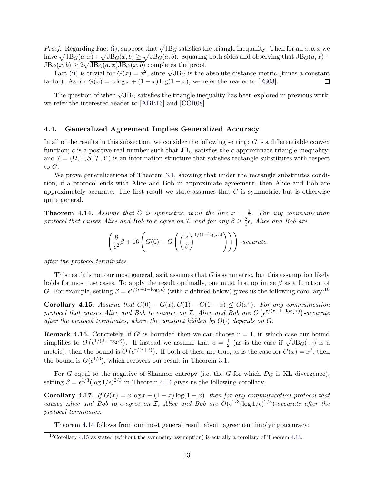*Proof.* Regarding Fact [\(i\),](#page-12-1) suppose that  $\sqrt{JB_G}$  satisfies the triangle inequality. Then for all  $a, b, x$  we have  $\sqrt{JB_G(a, x)} + \sqrt{JB_G(x, b)} \ge \sqrt{JB_G(a, b)}$ . Squaring both sides and observing that  $JB_G(a, x) +$  $JB_G(x, b) \geq 2\sqrt{JB_G(a, x)JB_G(x, b)}$  completes the proof.

Fact [\(ii\)](#page-12-2) is trivial for  $G(x) = x^2$ , since  $\sqrt{JB_G}$  is the absolute distance metric (times a constant factor). As for  $G(x) = x \log x + (1 - x) \log(1 - x)$ , we refer the reader to [\[ES03\]](#page-16-7).  $\Box$ 

The question of when  $\sqrt{JB_{G}}$  satisfies the triangle inequality has been explored in previous work; we refer the interested reader to [\[ABB13\]](#page-16-8) and [\[CCR08\]](#page-16-9).

### 4.4. Generalized Agreement Implies Generalized Accuracy

In all of the results in this subsection, we consider the following setting:  $G$  is a differentiable convex function; c is a positive real number such that  $JB<sub>G</sub>$  satisfies the c-approximate triangle inequality; and  $\mathcal{I} = (\Omega, \mathbb{P}, \mathcal{S}, \mathcal{T}, Y)$  is an information structure that satisfies rectangle substitutes with respect to G.

We prove generalizations of Theorem [3.1,](#page-6-2) showing that under the rectangle substitutes condition, if a protocol ends with Alice and Bob in approximate agreement, then Alice and Bob are approximately accurate. The first result we state assumes that  $G$  is symmetric, but is otherwise quite general.

<span id="page-13-0"></span>**Theorem 4.14.** Assume that G is symmetric about the line  $x = \frac{1}{2}$  $\frac{1}{2}$ . For any communication protocol that causes Alice and Bob to  $\epsilon$ -agree on *I*, and for any  $\beta \geq \frac{2}{c}$  $\frac{2}{c}$  $\epsilon$ , Alice and Bob are

$$
\left(\frac{8}{c^2}\beta + 16\left(G(0) - G\left(\left(\frac{\epsilon}{\beta}\right)^{1/(1-\log_2 c)}\right)\right)\right) \text{-}accurate
$$

after the protocol terminates.

This result is not our most general, as it assumes that G is symmetric, but this assumption likely holds for most use cases. To apply the result optimally, one must first optimize  $\beta$  as a function of G. For example, setting  $\beta = \epsilon^{r/(r+1-\log_2 c)}$  (with r defined below) gives us the following corollary:<sup>[10](#page-13-1)</sup>

<span id="page-13-2"></span>Corollary 4.15. Assume that  $G(0) - G(x)$ ,  $G(1) - G(1-x) \leq O(x^r)$ . For any communication protocol that causes Alice and Bob to  $\epsilon$ -agree on I, Alice and Bob are  $O(\epsilon^{r/(r+1-\log_2 c)})$ -accurate after the protocol terminates, where the constant hidden by  $O(\cdot)$  depends on G.

**Remark 4.16.** Concretely, if G' is bounded then we can choose  $r = 1$ , in which case our bound simplifies to  $O\left(\epsilon^{1/(2-\log_2 c)}\right)$ . If instead we assume that  $c=\frac{1}{2}$  $\frac{1}{2}$  (as is the case if  $\sqrt{JB_{G}(\cdot,\cdot)}$  is a metric), then the bound is  $O(\epsilon^{r/(r+2)})$ . If both of these are true, as is the case for  $G(x) = x^2$ , then the bound is  $O(\epsilon^{1/3})$ , which recovers our result in Theorem [3.1.](#page-6-2)

For G equal to the negative of Shannon entropy (i.e. the G for which  $D_G$  is KL divergence), setting  $\beta = \epsilon^{1/3} (\log 1/\epsilon)^{2/3}$  in Theorem [4.14](#page-13-0) gives us the following corollary.

Corollary 4.17. If  $G(x) = x \log x + (1-x) \log(1-x)$ , then for any communication protocol that causes Alice and Bob to  $\epsilon$ -agree on *I*, Alice and Bob are  $O(\epsilon^{1/3}(\log 1/\epsilon)^{2/3})$ -accurate after the protocol terminates.

Theorem [4.14](#page-13-0) follows from our most general result about agreement implying accuracy:

<span id="page-13-1"></span> $10$ Corollary [4.15](#page-13-2) as stated (without the symmetry assumption) is actually a corollary of Theorem [4.18.](#page-14-0)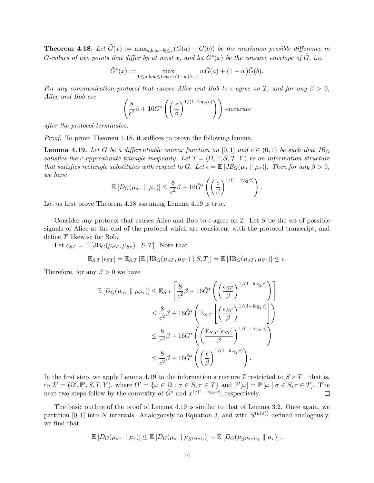<span id="page-14-0"></span>**Theorem 4.18.** Let  $\tilde{G}(x) := \max_{a,b:|a-b| \leq x} (G(a) - G(b))$  be the maximum possible difference in G-values of two points that differ by at most x, and let  $\tilde{G}^*(x)$  be the concave envelope of  $\tilde{G}$ , i.e.

$$
\tilde{G}^*(x) := \max_{0 \le a, b, w \le 1: wa + (1-w)b = x} w\tilde{G}(a) + (1-w)\tilde{G}(b).
$$

For any communication protocol that causes Alice and Bob to  $\epsilon$ -agree on I, and for any  $\beta > 0$ , Alice and Bob are

$$
\left(\frac{8}{c^2}\beta + 16\tilde{G}^*\left(\left(\frac{\epsilon}{\beta}\right)^{1/(1-\log_2 c)}\right)\right) \text{-}accurate
$$

after the protocol terminates.

Proof. To prove Theorem [4.18,](#page-14-0) it suffices to prove the following lemma.

<span id="page-14-1"></span>**Lemma 4.19.** Let G be a differentiable convex function on [0, 1] and  $c \in (0,1)$  be such that  $JB_G$ satisfies the c-approximate triangle inequality. Let  $\mathcal{I} = (\Omega, \mathbb{P}, \mathcal{S}, \mathcal{T}, Y)$  be an information structure that satisfies rectangle substitutes with respect to G. Let  $\epsilon = \mathbb{E} \left[ J B_G(\mu_{\sigma} \parallel \mu_{\tau}) \right]$ . Then for any  $\beta > 0$ , we have

$$
\mathbb{E}\left[D_G(\mu_{\sigma\tau} \parallel \mu_{\tau})\right] \leq \frac{8}{c^2}\beta + 16\tilde{G}^*\left(\left(\frac{\epsilon}{\beta}\right)^{1/(1-\log_2 c)}\right).
$$

Let us first prove Theorem [4.18](#page-14-0) assuming Lemma [4.19](#page-14-1) is true.

Consider any protocol that causes Alice and Bob to  $\epsilon$ -agree on  $\mathcal I$ . Let S be the set of possible signals of Alice at the end of the protocol which are consistent with the protocol transcript, and define T likewise for Bob.

Let  $\epsilon_{ST} = \mathbb{E} [\text{JB}_G(\mu_{\sigma T}, \mu_{S\tau}) \mid S, T]$ . Note that

$$
\mathbb{E}_{S,T}\left[\epsilon_{ST}\right] = \mathbb{E}_{S,T}\left[\mathbb{E}\left[\mathrm{JB}_{G}(\mu_{\sigma T}, \mu_{S\tau}) \mid S, T\right]\right] = \mathbb{E}\left[\mathrm{JB}_{G}(\mu_{\sigma T}, \mu_{S\tau})\right] \leq \epsilon.
$$

Therefore, for any  $\beta > 0$  we have

$$
\mathbb{E}\left[D_G(\mu_{\sigma\tau} \parallel \mu_{S\tau})\right] \leq \mathbb{E}_{S,T}\left[\frac{8}{c^2}\beta + 16\tilde{G}^*\left(\left(\frac{\epsilon_{ST}}{\beta}\right)^{1/(1-\log_2 c)}\right)\right]
$$
  

$$
\leq \frac{8}{c^2}\beta + 16\tilde{G}^*\left(\mathbb{E}_{S,T}\left[\left(\frac{\epsilon_{ST}}{\beta}\right)^{1/(1-\log_2 c)}\right]\right)
$$
  

$$
\leq \frac{8}{c^2}\beta + 16\tilde{G}^*\left(\left(\frac{\mathbb{E}_{S,T}\left[\epsilon_{ST}\right]}{\beta}\right)^{1/(1-\log_2 c)}\right)
$$
  

$$
\leq \frac{8}{c^2}\beta + 16\tilde{G}^*\left(\left(\frac{\epsilon}{\beta}\right)^{1/(1-\log_2 c)}\right).
$$

In the first step, we apply Lemma [4.19](#page-14-1) to the information structure  $\mathcal I$  restricted to  $S \times T$ —that is, to  $\mathcal{I}' = (\Omega', \mathbb{P}', S, T, Y)$ , where  $\Omega' = {\omega \in \Omega : \sigma \in S, \tau \in T}$  and  $\mathbb{P}'[\omega] = \mathbb{P}[\omega | \sigma \in S, \tau \in T]$ . The next two steps follow by the convexity of  $\tilde{G}^*$  and  $x^{1/(1-\log_2 c)}$ , respectively.  $\Box$ 

The basic outline of the proof of Lemma [4.19](#page-14-1) is similar to that of Lemma [3.2.](#page-6-3) Once again, we partition [0, 1] into N intervals. Analogously to Equation [3,](#page-7-3) and with  $S^{(k(\sigma))}$  defined analogously, we find that

$$
\mathbb{E}\left[D_G(\mu_{\sigma\tau} \parallel \mu_{\tau})\right] \leq \mathbb{E}\left[D_G(\mu_{\sigma} \parallel \mu_{S^{(k(\sigma))}})\right] + \mathbb{E}\left[D_G(\mu_{S^{(k(\sigma))}\tau} \parallel \mu_{\tau})\right].
$$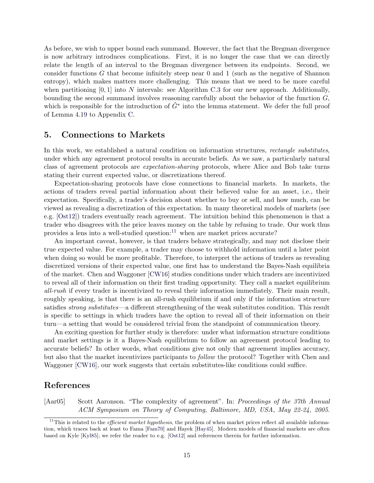As before, we wish to upper bound each summand. However, the fact that the Bregman divergence is now arbitrary introduces complications. First, it is no longer the case that we can directly relate the length of an interval to the Bregman divergence between its endpoints. Second, we consider functions  $G$  that become infinitely steep near 0 and 1 (such as the negative of Shannon entropy), which makes matters more challenging. This means that we need to be more careful when partitioning  $[0, 1]$  into N intervals: see Algorithm [C.3](#page-24-0) for our new approach. Additionally, bounding the second summand involves reasoning carefully about the behavior of the function G, which is responsible for the introduction of  $\tilde{G}^*$  into the lemma statement. We defer the full proof of Lemma [4.19](#page-14-1) to Appendix [C.](#page-19-0)

### <span id="page-15-1"></span>5. Connections to Markets

In this work, we established a natural condition on information structures, *rectangle substitutes*, under which any agreement protocol results in accurate beliefs. As we saw, a particularly natural class of agreement protocols are expectation-sharing protocols, where Alice and Bob take turns stating their current expected value, or discretizations thereof.

Expectation-sharing protocols have close connections to financial markets. In markets, the actions of traders reveal partial information about their believed value for an asset, i.e., their expectation. Specifically, a trader's decision about whether to buy or sell, and how much, can be viewed as revealing a discretization of this expectation. In many theoretical models of markets (see e.g. [\[Ost12\]](#page-16-3)) traders eventually reach agreement. The intuition behind this phenomenon is that a trader who disagrees with the price leaves money on the table by refusing to trade. Our work thus provides a lens into a well-studied question: $11$  when are market prices accurate?

An important caveat, however, is that traders behave strategically, and may not disclose their true expected value. For example, a trader may choose to withhold information until a later point when doing so would be more profitable. Therefore, to interpret the actions of traders as revealing discretized versions of their expected value, one first has to understand the Bayes-Nash equilibria of the market. Chen and Waggoner [\[CW16\]](#page-16-1) studies conditions under which traders are incentivized to reveal all of their information on their first trading opportunity. They call a market equilibrium all-rush if every trader is incentivized to reveal their information immediately. Their main result, roughly speaking, is that there is an all-rush equilibrium if and only if the information structure satisfies *strong substitutes*—a different strengthening of the weak substitutes condition. This result is specific to settings in which traders have the option to reveal all of their information on their turn—a setting that would be considered trivial from the standpoint of communication theory.

An exciting question for further study is therefore: under what information structure conditions and market settings is it a Bayes-Nash equilibrium to follow an agreement protocol leading to accurate beliefs? In other words, what conditions give not only that agreement implies accuracy, but also that the market incentivizes participants to follow the protocol? Together with Chen and Waggoner [\[CW16\]](#page-16-1), our work suggests that certain substitutes-like conditions could suffice.

# References

<span id="page-15-0"></span>[Aar05] Scott Aaronson. "The complexity of agreement". In: Proceedings of the 37th Annual ACM Symposium on Theory of Computing, Baltimore, MD, USA, May 22-24, 2005.

<span id="page-15-2"></span><sup>&</sup>lt;sup>11</sup>This is related to the *efficient market hypothesis*, the problem of when market prices reflect all available information, which traces back at least to Fama [\[Fam70\]](#page-16-10) and Hayek [\[Hay45\]](#page-16-11). Modern models of financial markets are often based on Kyle [\[Kyl85\]](#page-16-12); we refer the reader to e.g. [\[Ost12\]](#page-16-3) and references therein for further information.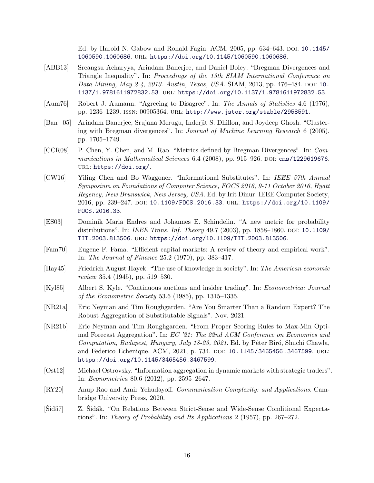Ed. by Harold N. Gabow and Ronald Fagin. ACM,  $2005$ , pp.  $634–643$ . DOI: [10.1145/](https://doi.org/10.1145/1060590.1060686) [1060590.1060686](https://doi.org/10.1145/1060590.1060686). url: <https://doi.org/10.1145/1060590.1060686>.

- <span id="page-16-8"></span>[ABB13] Sreangsu Acharyya, Arindam Banerjee, and Daniel Boley. "Bregman Divergences and Triangle Inequality". In: Proceedings of the 13th SIAM International Conference on Data Mining, May 2-4, 2013. Austin, Texas, USA. SIAM, 2013, pp. 476–484. DOI: [10.](https://doi.org/10.1137/1.9781611972832.53) [1137/1.9781611972832.53](https://doi.org/10.1137/1.9781611972832.53). url: <https://doi.org/10.1137/1.9781611972832.53>.
- <span id="page-16-0"></span>[Aum76] Robert J. Aumann. "Agreeing to Disagree". In: The Annals of Statistics 4.6 (1976), pp. 1236–1239. issn: 00905364. url: <http://www.jstor.org/stable/2958591>.
- <span id="page-16-6"></span>[Ban+05] Arindam Banerjee, Srujana Merugu, Inderjit S. Dhillon, and Joydeep Ghosh. "Clustering with Bregman divergences". In: Journal of Machine Learning Research 6 (2005), pp. 1705–1749.
- <span id="page-16-9"></span>[CCR08] P. Chen, Y. Chen, and M. Rao. "Metrics defined by Bregman Divergences". In: Communications in Mathematical Sciences  $6.4$  (2008), pp. 915–926. DOI: [cms/1229619676](https://doi.org/cms/1229619676). url: <https://doi.org/>.
- <span id="page-16-1"></span>[CW16] Yiling Chen and Bo Waggoner. "Informational Substitutes". In: IEEE 57th Annual Symposium on Foundations of Computer Science, FOCS 2016, 9-11 October 2016, Hyatt Regency, New Brunswick, New Jersey, USA. Ed. by Irit Dinur. IEEE Computer Society, 2016, pp. 239–247. doi: [10.1109/FOCS.2016.33](https://doi.org/10.1109/FOCS.2016.33). url: [https://doi.org/10.1109/](https://doi.org/10.1109/FOCS.2016.33) [FOCS.2016.33](https://doi.org/10.1109/FOCS.2016.33).
- <span id="page-16-7"></span>[ES03] Dominik Maria Endres and Johannes E. Schindelin. "A new metric for probability distributions". In: *IEEE Trans. Inf. Theory* 49.7 (2003), pp. 1858–1860. DOI: [10.1109/](https://doi.org/10.1109/TIT.2003.813506) [TIT.2003.813506](https://doi.org/10.1109/TIT.2003.813506). url: <https://doi.org/10.1109/TIT.2003.813506>.
- <span id="page-16-10"></span>[Fam70] Eugene F. Fama. "Efficient capital markets: A review of theory and empirical work". In: The Journal of Finance 25.2 (1970), pp. 383–417.
- <span id="page-16-11"></span>[Hay45] Friedrich August Hayek. "The use of knowledge in society". In: The American economic review 35.4  $(1945)$ , pp. 519–530.
- <span id="page-16-12"></span>[Kyl85] Albert S. Kyle. "Continuous auctions and insider trading". In: Econometrica: Journal *of the Econometric Society* 53.6 (1985), pp. 1315–1335.
- <span id="page-16-4"></span>[NR21a] Eric Neyman and Tim Roughgarden. "Are You Smarter Than a Random Expert? The Robust Aggregation of Substitutable Signals". Nov. 2021.
- <span id="page-16-13"></span>[NR21b] Eric Neyman and Tim Roughgarden. "From Proper Scoring Rules to Max-Min Optimal Forecast Aggregation". In: EC '21: The 22nd ACM Conference on Economics and Computation, Budapest, Hungary, July 18-23, 2021. Ed. by Péter Biró, Shuchi Chawla, and Federico Echenique. ACM, 2021, p. 734. DOI: [10.1145/3465456.3467599](https://doi.org/10.1145/3465456.3467599). URL: <https://doi.org/10.1145/3465456.3467599>.
- <span id="page-16-3"></span>[Ost12] Michael Ostrovsky. "Information aggregation in dynamic markets with strategic traders". In: Econometrica 80.6 (2012), pp. 2595–2647.
- <span id="page-16-2"></span>[RY20] Anup Rao and Amir Yehudayoff. Communication Complexity: and Applications. Cambridge University Press, 2020.
- <span id="page-16-5"></span>[Sid57]  $Z.$  Sidák. "On Relations Between Strict-Sense and Wide-Sense Conditional Expectations". In: Theory of Probability and Its Applications 2 (1957), pp. 267–272.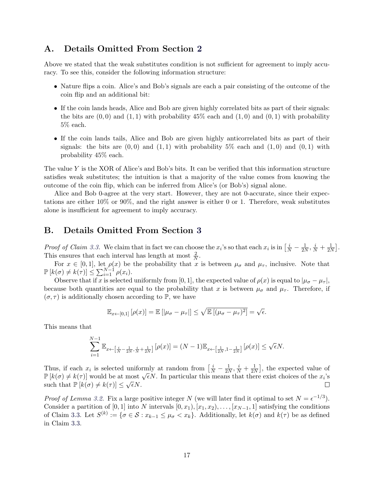# A. Details Omitted From Section [2](#page-3-0)

Above we stated that the weak substitutes condition is not sufficient for agreement to imply accuracy. To see this, consider the following information structure:

- Nature flips a coin. Alice's and Bob's signals are each a pair consisting of the outcome of the coin flip and an additional bit:
- If the coin lands heads, Alice and Bob are given highly correlated bits as part of their signals: the bits are  $(0,0)$  and  $(1,1)$  with probability 45% each and  $(1,0)$  and  $(0,1)$  with probability 5% each.
- If the coin lands tails, Alice and Bob are given highly anticorrelated bits as part of their signals: the bits are  $(0,0)$  and  $(1,1)$  with probability 5% each and  $(1,0)$  and  $(0,1)$  with probability 45% each.

The value Y is the XOR of Alice's and Bob's bits. It can be verified that this information structure satisfies weak substitutes; the intuition is that a majority of the value comes from knowing the outcome of the coin flip, which can be inferred from Alice's (or Bob's) signal alone.

Alice and Bob 0-agree at the very start. However, they are not 0-accurate, since their expectations are either 10% or 90%, and the right answer is either 0 or 1. Therefore, weak substitutes alone is insufficient for agreement to imply accuracy.

# <span id="page-17-0"></span>B. Details Omitted From Section [3](#page-6-0)

*Proof of Claim [3.3.](#page-7-0)* We claim that in fact we can choose the  $x_i$ 's so that each  $x_i$  is in  $\left[\frac{i}{N} - \frac{1}{2N}\right]$  $\frac{1}{2N}, \frac{i}{N} + \frac{1}{2N}$  $\frac{1}{2N}$ . This ensures that each interval has length at most  $\frac{2}{N}$ .

For  $x \in [0,1]$ , let  $\rho(x)$  be the probability that x is between  $\mu_{\sigma}$  and  $\mu_{\tau}$ , inclusive. Note that  $\mathbb{P}\left[k(\sigma) \neq k(\tau)\right] \leq \sum_{i=1}^{N-1} \rho(x_i).$ 

Observe that if x is selected uniformly from [0, 1], the expected value of  $\rho(x)$  is equal to  $|\mu_{\sigma} - \mu_{\tau}|$ , because both quantities are equal to the probability that x is between  $\mu_{\sigma}$  and  $\mu_{\tau}$ . Therefore, if  $(\sigma, \tau)$  is additionally chosen according to P, we have

$$
\mathbb{E}_{x \leftarrow [0,1]} [\rho(x)] = \mathbb{E} [|\mu_{\sigma} - \mu_{\tau}|] \leq \sqrt{\mathbb{E} [(\mu_{\sigma} - \mu_{\tau})^2]} = \sqrt{\epsilon}.
$$

This means that

$$
\sum_{i=1}^{N-1} \mathbb{E}_{x \leftarrow \left[\frac{i}{N} - \frac{1}{2N}, \frac{i}{N} + \frac{1}{2N}\right]} \left[\rho(x)\right] = (N-1)\mathbb{E}_{x \leftarrow \left[\frac{1}{2N}, 1 - \frac{1}{2N}\right]} \left[\rho(x)\right] \le \sqrt{\epsilon}N.
$$

Thus, if each  $x_i$  is selected uniformly at random from  $\left[\frac{i}{N} - \frac{1}{2N}\right]$  $\frac{1}{2N}, \frac{i}{N} + \frac{1}{2N}$  $\frac{1}{2N}$ , the expected value of Thus, if each  $x_i$  is selected uniformly at random from  $\lfloor \frac{N}{N} - \frac{2N}{2N}, \frac{N}{N} + \frac{2N}{2N} \rfloor$ , the expected value of  $\lfloor k(\sigma) \rfloor \neq k(\tau) \rfloor$  would be at most  $\sqrt{\epsilon}N$ . In particular this means that there exist choices such that  $\mathbb{P}[k(\sigma) \neq k(\tau)] \leq \sqrt{\epsilon}N$ .  $\Box$ 

*Proof of Lemma [3.2.](#page-6-3)* Fix a large positive integer N (we will later find it optimal to set  $N = \epsilon^{-1/3}$ ). Consider a partition of [0, 1] into N intervals  $[0, x_1), [x_1, x_2), \ldots, [x_{N-1}, 1]$  satisfying the conditions of Claim [3.3.](#page-7-0) Let  $S^{(k)} := \{ \sigma \in \mathcal{S} : x_{k-1} \leq \mu_{\sigma} < x_k \}.$  Additionally, let  $k(\sigma)$  and  $k(\tau)$  be as defined in Claim [3.3.](#page-7-0)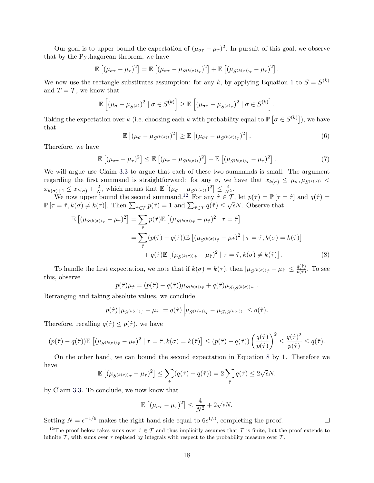Our goal is to upper bound the expectation of  $(\mu_{\sigma\tau} - \mu_{\tau})^2$ . In pursuit of this goal, we observe that by the Pythagorean theorem, we have

$$
\mathbb{E}\left[ (\mu_{\sigma\tau} - \mu_{\tau})^2 \right] = \mathbb{E}\left[ (\mu_{\sigma\tau} - \mu_{S^{(k(\sigma))}\tau})^2 \right] + \mathbb{E}\left[ (\mu_{S^{(k(\sigma))}\tau} - \mu_{\tau})^2 \right].
$$

We now use the rectangle substitutes assumption: for any k, by applying Equation [1](#page-6-4) to  $S = S^{(k)}$ and  $T = \mathcal{T}$ , we know that

$$
\mathbb{E}\left[\left(\mu_{\sigma}-\mu_{S^{(k)}}\right)^2\mid \sigma\in S^{(k)}\right]\geq \mathbb{E}\left[\left(\mu_{\sigma\tau}-\mu_{S^{(k)}\tau}\right)^2\mid \sigma\in S^{(k)}\right].
$$

Taking the expectation over k (i.e. choosing each k with probability equal to  $\mathbb{P}[\sigma \in S^{(k)}]$ ), we have that

<span id="page-18-0"></span>
$$
\mathbb{E}\left[\left(\mu_{\sigma}-\mu_{S^{(k(\sigma))}}\right)^2\right] \geq \mathbb{E}\left[\left(\mu_{\sigma\tau}-\mu_{S^{(k(\sigma))}\tau}\right)^2\right].\tag{6}
$$

Therefore, we have

$$
\mathbb{E}\left[ (\mu_{\sigma\tau} - \mu_{\tau})^2 \right] \leq \mathbb{E}\left[ (\mu_{\sigma} - \mu_{S^{(k(\sigma))}})^2 \right] + \mathbb{E}\left[ (\mu_{S^{(k(\sigma))}\tau} - \mu_{\tau})^2 \right]. \tag{7}
$$

We will argue use Claim [3.3](#page-7-0) to argue that each of these two summands is small. The argument regarding the first summand is straightforward: for any  $\sigma$ , we have that  $x_{k(\sigma)} \leq \mu_{\sigma}, \mu_{S^{(k(\sigma))}}$  $x_{k(\sigma)+1} \leq x_{k(\sigma)} + \frac{2}{N}$  $\frac{2}{N}$ , which means that  $\mathbb{E}\left[ (\mu_{\sigma} - \mu_{S^{(k(\sigma))}})^2 \right] \leq \frac{4}{N^2}$ .

We now upper bound the second summand.<sup>[12](#page-18-1)</sup> For any  $\hat{\tau} \in \mathcal{T}$ , let  $p(\hat{\tau}) = \mathbb{P}[\tau = \hat{\tau}]$  and  $q(\hat{\tau}) = \hat{\tau}$  $\mathbb{P}[\tau = \hat{\tau}, k(\sigma) \neq k(\tau)].$  Then  $\sum_{\hat{\tau} \in \mathcal{T}} p(\hat{\tau}) = 1$  and  $\sum_{\hat{\tau} \in \mathcal{T}} q(\hat{\tau}) \leq \sqrt{\epsilon}N$ . Observe that

$$
\mathbb{E}\left[\left(\mu_{S^{(k(\sigma))}\tau} - \mu_{\tau}\right)^{2}\right] = \sum_{\hat{\tau}} p(\hat{\tau}) \mathbb{E}\left[\left(\mu_{S^{(k(\sigma))}\hat{\tau}} - \mu_{\hat{\tau}}\right)^{2} \mid \tau = \hat{\tau}\right]
$$
\n
$$
= \sum_{\hat{\tau}} (p(\hat{\tau}) - q(\hat{\tau})) \mathbb{E}\left[\left(\mu_{S^{(k(\sigma))}\hat{\tau}} - \mu_{\hat{\tau}}\right)^{2} \mid \tau = \hat{\tau}, k(\sigma) = k(\hat{\tau})\right]
$$
\n
$$
+ q(\hat{\tau}) \mathbb{E}\left[\left(\mu_{S^{(k(\sigma))}\hat{\tau}} - \mu_{\hat{\tau}}\right)^{2} \mid \tau = \hat{\tau}, k(\sigma) \neq k(\hat{\tau})\right].
$$
\n(8)

To handle the first expectation, we note that if  $k(\sigma) = k(\tau)$ , then  $|\mu_{S^{(k(\sigma))\hat{\tau}}} - \mu_{\hat{\tau}}| \leq \frac{q(\hat{\tau})}{p(\hat{\tau})}$ . To see this, observe

$$
p(\hat{\tau})\mu_{\hat{\tau}} = (p(\hat{\tau}) - q(\hat{\tau}))\mu_{S^{(k(\sigma))}\hat{\tau}} + q(\hat{\tau})\mu_{S\setminus S^{(k(\sigma))}\hat{\tau}}.
$$

Rerranging and taking absolute values, we conclude

$$
p(\hat{\tau}) |\mu_{S^{(k(\sigma))}\hat{\tau}} - \mu_{\hat{\tau}}| = q(\hat{\tau}) |\mu_{S^{(k(\sigma))}\hat{\tau}} - \mu_{S \setminus S^{(k(\sigma))}}| \leq q(\hat{\tau}).
$$

Therefore, recalling  $q(\hat{\tau}) \leq p(\hat{\tau})$ , we have

$$
(p(\hat{\tau}) - q(\hat{\tau})) \mathbb{E} \left[ (\mu_{S^{(k(\sigma))}\hat{\tau}} - \mu_{\hat{\tau}})^2 \mid \tau = \hat{\tau}, k(\sigma) = k(\hat{\tau}) \right] \le (p(\hat{\tau}) - q(\hat{\tau})) \left( \frac{q(\hat{\tau})}{p(\hat{\tau})} \right)^2 \le \frac{q(\hat{\tau})^2}{p(\hat{\tau})} \le q(\hat{\tau}).
$$

On the other hand, we can bound the second expectation in Equation [8](#page-18-2) by 1. Therefore we have √

$$
\mathbb{E}\left[ (\mu_{S^{(k(\sigma))}\tau} - \mu_\tau)^2 \right] \leq \sum_{\hat{\tau}} (q(\hat{\tau}) + q(\hat{\tau})) = 2 \sum_{\hat{\tau}} q(\hat{\tau}) \leq 2\sqrt{\epsilon}N.
$$

by Claim [3.3.](#page-7-0) To conclude, we now know that

$$
\mathbb{E}\left[ (\mu_{\sigma\tau} - \mu_{\tau})^2 \right] \le \frac{4}{N^2} + 2\sqrt{\epsilon}N.
$$

Setting  $N = \epsilon^{-1/6}$  makes the right-hand side equal to  $6\epsilon^{1/3}$ , completing the proof.

<span id="page-18-2"></span> $\Box$ 

<span id="page-18-1"></span><sup>&</sup>lt;sup>12</sup>The proof below takes sums over  $\hat{\tau} \in \mathcal{T}$  and thus implicitly assumes that  $\mathcal{T}$  is finite, but the proof extends to infinite  $\mathcal T$ , with sums over  $\tau$  replaced by integrals with respect to the probability measure over  $\mathcal T$ .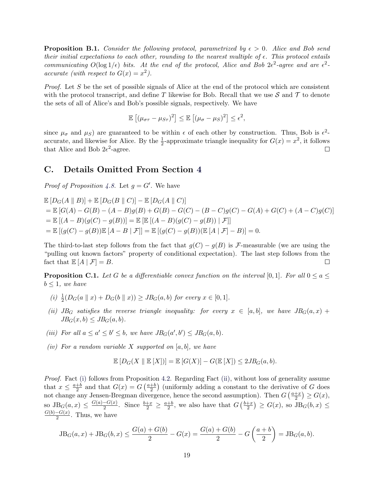<span id="page-19-1"></span>**Proposition B.1.** Consider the following protocol, parametrized by  $\epsilon > 0$ . Alice and Bob send their initial expectations to each other, rounding to the nearest multiple of  $\epsilon$ . This protocol entails communicating  $O(\log 1/\epsilon)$  bits. At the end of the protocol, Alice and Bob  $2\epsilon^2$ -agree and are  $\epsilon^2$ accurate (with respect to  $G(x) = x^2$ ).

*Proof.* Let  $S$  be the set of possible signals of Alice at the end of the protocol which are consistent with the protocol transcript, and define T likewise for Bob. Recall that we use  $\mathcal S$  and  $\mathcal T$  to denote the sets of all of Alice's and Bob's possible signals, respectively. We have

$$
\mathbb{E}\left[ (\mu_{\sigma\tau} - \mu_{S\tau})^2 \right] \leq \mathbb{E}\left[ (\mu_{\sigma} - \mu_S)^2 \right] \leq \epsilon^2,
$$

since  $\mu_{\sigma}$  and  $\mu_{S}$ ) are guaranteed to be within  $\epsilon$  of each other by construction. Thus, Bob is  $\epsilon^2$ accurate, and likewise for Alice. By the  $\frac{1}{2}$ -approximate triangle inequality for  $G(x) = x^2$ , it follows that Alice and Bob  $2e^2$ -agree.  $\Box$ 

### <span id="page-19-0"></span>C. Details Omitted From Section [4](#page-9-0)

*Proof of Proposition [4.8.](#page-11-0)* Let  $g = G'$ . We have

 $\mathbb{E}[D_G(A \parallel B)] + \mathbb{E}[D_G(B \parallel C)] - \mathbb{E}[D_G(A \parallel C)]$  $= \mathbb{E} [G(A) - G(B) - (A - B)q(B) + G(B) - G(C) - (B - C)q(C) - G(A) + G(C) + (A - C)q(C)]$  $= \mathbb{E} [(A - B)(g(C) - g(B))] = \mathbb{E} [\mathbb{E} [(A - B)(g(C) - g(B))] \mathcal{F}]$  $=\mathbb{E} [(g(C) - g(B))\mathbb{E} [A - B | \mathcal{F}]]=\mathbb{E} [(g(C) - g(B))(\mathbb{E} [A | \mathcal{F}] - B)]=0.$ 

The third-to-last step follows from the fact that  $g(C) - g(B)$  is F-measurable (we are using the "pulling out known factors" property of conditional expectation). The last step follows from the fact that  $\mathbb{E}[A \mid \mathcal{F}] = B$ .  $\Box$ 

<span id="page-19-2"></span>**Proposition C.1.** Let G be a differentiable convex function on the interval [0, 1]. For all  $0 \le a \le$  $b \leq 1$ , we have

- <span id="page-19-3"></span>(i)  $\frac{1}{2}(D_G(a \parallel x) + D_G(b \parallel x)) \geq JB_G(a, b)$  for every  $x \in [0, 1]$ .
- <span id="page-19-4"></span>(ii) JB<sub>G</sub> satisfies the reverse triangle inequality: for every  $x \in [a, b]$ , we have  $JB_G(a, x)$  +  $JB<sub>G</sub>(x, b) < JB<sub>G</sub>(a, b).$
- <span id="page-19-5"></span>(iii) For all  $a \le a' \le b' \le b$ , we have  $JB_G(a', b') \le JB_G(a, b)$ .
- <span id="page-19-6"></span>(iv) For a random variable X supported on  $[a, b]$ , we have

$$
\mathbb{E}\left[D_G(X \parallel \mathbb{E}[X])\right] = \mathbb{E}\left[G(X)\right] - G(\mathbb{E}[X]) \le 2JB_G(a, b).
$$

Proof. Fact [\(i\)](#page-19-3) follows from Proposition [4.2.](#page-10-3) Regarding Fact [\(ii\),](#page-19-4) without loss of generality assume that  $x \leq \frac{a+b}{2}$  $\frac{+b}{2}$  and that  $G(x) = G\left(\frac{a+b}{2}\right)$  $\frac{+b}{2}$ ) (uniformly adding a constant to the derivative of G does not change any Jensen-Bregman divergence, hence the second assumption). Then  $G\left(\frac{a+x}{2}\right)$  $\frac{+x}{2}$ )  $\geq G(x)$ , so JB $_G(a,x) \leq \frac{G(a)-G(x)}{2}$  $\frac{-G(x)}{2}$ . Since  $\frac{b+x}{2} \geq \frac{a+b}{2}$  $\frac{+b}{2}$ , we also have that  $G\left(\frac{b+x}{2}\right)$  $\left(\frac{+x}{2}\right) \geq G(x)$ , so  $\text{JB}_G(b, x) \leq$  $G(b)-G(x)$  $\frac{-G(x)}{2}$ . Thus, we have

$$
JB_{G}(a,x) + JB_{G}(b,x) \le \frac{G(a) + G(b)}{2} - G(x) = \frac{G(a) + G(b)}{2} - G\left(\frac{a+b}{2}\right) = JB_{G}(a,b).
$$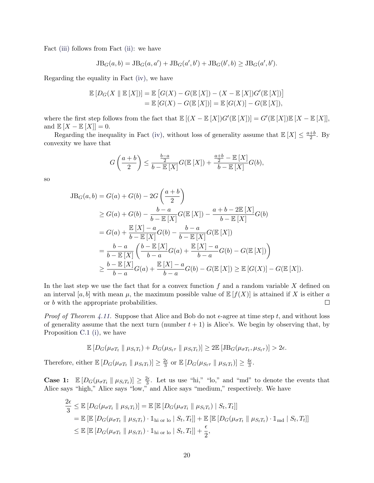Fact [\(iii\)](#page-19-5) follows from Fact [\(ii\):](#page-19-4) we have

$$
JB_G(a, b) = JB_G(a, a') + JB_G(a', b') + JB_G(b', b) \geq JB_G(a', b').
$$

Regarding the equality in Fact [\(iv\),](#page-19-6) we have

$$
\mathbb{E}\left[D_G(X \parallel \mathbb{E}[X])\right] = \mathbb{E}\left[G(X) - G(\mathbb{E}[X]) - (X - \mathbb{E}[X])G'(\mathbb{E}[X])\right] \\
= \mathbb{E}\left[G(X) - G(\mathbb{E}[X])\right] = \mathbb{E}\left[G(X)\right] - G(\mathbb{E}[X]),
$$

where the first step follows from the fact that  $\mathbb{E}[(X - \mathbb{E}[X])G'(\mathbb{E}[X])] = G'(\mathbb{E}[X])\mathbb{E}[X - \mathbb{E}[X]],$ and  $\mathbb{E}[X - \mathbb{E}[X]] = 0.$ 

Regarding the inequality in Fact [\(iv\),](#page-19-6) without loss of generality assume that  $\mathbb{E}[X] \leq \frac{a+b}{2}$  $rac{+b}{2}$ . By convexity we have that

$$
G\left(\frac{a+b}{2}\right) \leq \frac{\frac{b-a}{2}}{b-\mathbb{E}\left[X\right]}G(\mathbb{E}\left[X\right]) + \frac{\frac{a+b}{2}-\mathbb{E}\left[X\right]}{b-\mathbb{E}\left[X\right]}G(b),
$$

so

$$
JB_{G}(a,b) = G(a) + G(b) - 2G\left(\frac{a+b}{2}\right)
$$
  
\n
$$
\geq G(a) + G(b) - \frac{b-a}{b - \mathbb{E}[X]}G(\mathbb{E}[X]) - \frac{a+b-2\mathbb{E}[X]}{b - \mathbb{E}[X]}G(b)
$$
  
\n
$$
= G(a) + \frac{\mathbb{E}[X] - a}{b - \mathbb{E}[X]}G(b) - \frac{b-a}{b - \mathbb{E}[X]}G(\mathbb{E}[X])
$$
  
\n
$$
= \frac{b-a}{b - \mathbb{E}[X]} \left(\frac{b - \mathbb{E}[X]}{b - a}G(a) + \frac{\mathbb{E}[X] - a}{b - a}G(b) - G(\mathbb{E}[X])\right)
$$
  
\n
$$
\geq \frac{b - \mathbb{E}[X]}{b - a}G(a) + \frac{\mathbb{E}[X] - a}{b - a}G(b) - G(\mathbb{E}[X]) \geq \mathbb{E}[G(X)] - G(\mathbb{E}[X]).
$$

In the last step we use the fact that for a convex function  $f$  and a random variable  $X$  defined on an interval [a, b] with mean  $\mu$ , the maximum possible value of  $\mathbb{E}[f(X)]$  is attained if X is either a or b with the appropriate probabilities.  $\Box$ 

*Proof of Theorem [4.11.](#page-12-0)* Suppose that Alice and Bob do not  $\epsilon$ -agree at time step t, and without loss of generality assume that the next turn (number  $t + 1$ ) is Alice's. We begin by observing that, by Proposition [C.1](#page-19-2) [\(i\),](#page-19-3) we have

$$
\mathbb{E}\left[D_G(\mu_{\sigma T_t} \parallel \mu_{S_t T_t}) + D_G(\mu_{S_t \tau} \parallel \mu_{S_t T_t})\right] \geq 2 \mathbb{E}\left[JB_G(\mu_{\sigma T_t}, \mu_{S_t \tau})\right] > 2\epsilon.
$$

Therefore, either  $\mathbb{E}[D_G(\mu_{\sigma T_t} \parallel \mu_{S_t T_t})] \geq \frac{2\epsilon}{3}$  $\frac{2\epsilon}{3}$  or  $\mathbb{E}\left[D_G(\mu_{S_t\tau} \parallel \mu_{S_tT_t})\right] \geq \frac{4\epsilon}{3}$  $\frac{4\epsilon}{3}.$ 

**Case 1:**  $\mathbb{E}[D_G(\mu_{\sigma T_t} \mid \mu_{S_t T_t})] \geq \frac{2\epsilon}{3}$  $\frac{2\epsilon}{3}$ . Let us use "hi," "lo," and "md" to denote the events that Alice says "high," Alice says "low," and Alice says "medium," respectively. We have

$$
\frac{2\epsilon}{3} \leq \mathbb{E}\left[D_G(\mu_{\sigma T_t} \parallel \mu_{S_t T_t})\right] = \mathbb{E}\left[\mathbb{E}\left[D_G(\mu_{\sigma T_t} \parallel \mu_{S_t T_t}) \mid S_t, T_t\right]\right]
$$
\n
$$
= \mathbb{E}\left[\mathbb{E}\left[D_G(\mu_{\sigma T_t} \parallel \mu_{S_t T_t}) \cdot \mathbb{1}_{\text{hi or lo}} \mid S_t, T_t\right]\right] + \mathbb{E}\left[\mathbb{E}\left[D_G(\mu_{\sigma T_t} \parallel \mu_{S_t T_t}) \cdot \mathbb{1}_{\text{md}} \mid S_t, T_t\right]\right]
$$
\n
$$
\leq \mathbb{E}\left[\mathbb{E}\left[D_G(\mu_{\sigma T_t} \parallel \mu_{S_t T_t}) \cdot \mathbb{1}_{\text{hi or lo}} \mid S_t, T_t\right]\right] + \frac{\epsilon}{2},
$$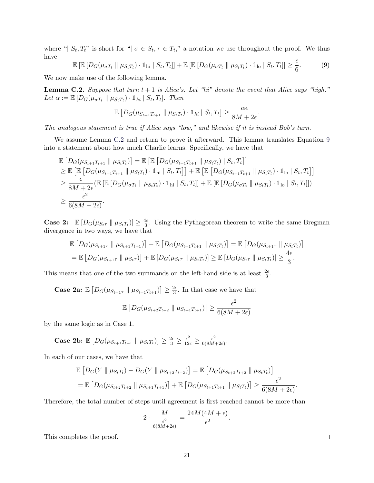where " $|S_t, T_t$ " is short for " $\sigma \in S_t, \tau \in T_t$ ," a notation we use throughout the proof. We thus have  $\epsilon$ 

<span id="page-21-1"></span>
$$
\mathbb{E}\left[\mathbb{E}\left[D_G(\mu_{\sigma T_t} \parallel \mu_{S_t T_t}) \cdot \mathbb{1}_{\text{hi}} \mid S_t, T_t\right]\right] + \mathbb{E}\left[\mathbb{E}\left[D_G(\mu_{\sigma T_t} \parallel \mu_{S_t T_t}) \cdot \mathbb{1}_{\text{lo}} \mid S_t, T_t\right]\right] \ge \frac{\epsilon}{6}.\tag{9}
$$

We now make use of the following lemma.

<span id="page-21-0"></span>**Lemma C.2.** Suppose that turn  $t + 1$  is Alice's. Let "hi" denote the event that Alice says "high." Let  $\alpha := \mathbb{E} \left[ D_G(\mu_{\sigma T_t} \parallel \mu_{S_t T_t}) \cdot \mathbb{1}_{hi} \mid S_t, T_t \right]$ . Then

$$
\mathbb{E}\left[D_G(\mu_{S_{t+1}T_{t+1}}\,\|\,\mu_{S_tT_t})\cdot\mathbb{1}_{hi}\,\big|\,S_t,T_t\right]\geq\frac{\alpha\epsilon}{8M+2\epsilon}.
$$

The analogous statement is true if Alice says "low," and likewise if it is instead Bob's turn.

We assume Lemma [C.2](#page-21-0) and return to prove it afterward. This lemma translates Equation [9](#page-21-1) into a statement about how much Charlie learns. Specifically, we have that

$$
\mathbb{E}\left[D_G(\mu_{S_{t+1}T_{t+1}} \parallel \mu_{S_tT_t})\right] = \mathbb{E}\left[\mathbb{E}\left[D_G(\mu_{S_{t+1}T_{t+1}} \parallel \mu_{S_tT_t}) \mid S_t, T_t\right]\right] \geq \mathbb{E}\left[\mathbb{E}\left[D_G(\mu_{S_{t+1}T_{t+1}} \parallel \mu_{S_tT_t}) \cdot \mathbb{1}_{\text{hi}} \mid S_t, T_t\right]\right] + \mathbb{E}\left[\mathbb{E}\left[D_G(\mu_{S_{t+1}T_{t+1}} \parallel \mu_{S_tT_t}) \cdot \mathbb{1}_{\text{lo}} \mid S_t, T_t\right]\right] \geq \frac{\epsilon}{8M + 2\epsilon} (\mathbb{E}\left[\mathbb{E}\left[D_G(\mu_{\sigma T_t} \parallel \mu_{S_tT_t}) \cdot \mathbb{1}_{\text{hi}} \mid S_t, T_t\right]\right] + \mathbb{E}\left[\mathbb{E}\left[D_G(\mu_{\sigma T_t} \parallel \mu_{S_tT_t}) \cdot \mathbb{1}_{\text{lo}} \mid S_t, T_t\right]\right]) \geq \frac{\epsilon^2}{6(8M + 2\epsilon)}.
$$

**Case 2:**  $\mathbb{E}[D_G(\mu_{S_t\tau} \mid \mu_{S_tT_t})] \geq \frac{4\epsilon}{3}$  $\frac{4\epsilon}{3}$ . Using the Pythagorean theorem to write the same Bregman divergence in two ways, we have that

$$
\mathbb{E}\left[D_G(\mu_{S_{t+1}\tau} \parallel \mu_{S_{t+1}T_{t+1}})\right] + \mathbb{E}\left[D_G(\mu_{S_{t+1}T_{t+1}} \parallel \mu_{S_tT_t})\right] = \mathbb{E}\left[D_G(\mu_{S_{t+1}\tau} \parallel \mu_{S_tT_t})\right]
$$
  
= 
$$
\mathbb{E}\left[D_G(\mu_{S_{t+1}\tau} \parallel \mu_{S_t\tau})\right] + \mathbb{E}\left[D_G(\mu_{S_t\tau} \parallel \mu_{S_tT_t})\right] \ge \mathbb{E}\left[D_G(\mu_{S_t\tau} \parallel \mu_{S_tT_t})\right] \ge \frac{4\epsilon}{3}.
$$

This means that one of the two summands on the left-hand side is at least  $\frac{2\epsilon}{3}$ .

**Case 2a:**  $\mathbb{E}\left[D_G(\mu_{S_{t+1}\tau} \|\mu_{S_{t+1}T_{t+1}})\right] \geq \frac{2\epsilon}{3}$  $\frac{2\epsilon}{3}$ . In that case we have that

$$
\mathbb{E}\left[D_G(\mu_{S_{t+2}T_{t+2}}\,\|\,\mu_{S_{t+1}T_{t+1}})\right] \geq \frac{\epsilon^2}{6(8M+2\epsilon)}
$$

by the same logic as in Case 1.

Case 2b:  $\mathbb{E}\left[D_G(\mu_{S_{t+1}T_{t+1}}\,\|\,\mu_{S_tT_t})\right] \geq \frac{2\epsilon}{3} \geq \frac{\epsilon^2}{12\epsilon} \geq \frac{\epsilon^2}{6(8M)}$  $\frac{\epsilon^2}{6(8M+2\epsilon)}$ .

In each of our cases, we have that

$$
\mathbb{E}\left[D_G(Y \parallel \mu_{S_t T_t}) - D_G(Y \parallel \mu_{S_{t+2} T_{t+2}})\right] = \mathbb{E}\left[D_G(\mu_{S_{t+2} T_{t+2}} \parallel \mu_{S_t T_t})\right]
$$
\n
$$
= \mathbb{E}\left[D_G(\mu_{S_{t+2} T_{t+2}} \parallel \mu_{S_{t+1} T_{t+1}})\right] + \mathbb{E}\left[D_G(\mu_{S_{t+1} T_{t+1}} \parallel \mu_{S_t T_t})\right] \ge \frac{\epsilon^2}{6(8M + 2\epsilon)}.
$$

Therefore, the total number of steps until agreement is first reached cannot be more than

$$
2 \cdot \frac{M}{\frac{\epsilon^2}{6(8M+2\epsilon)}} = \frac{24M(4M+\epsilon)}{\epsilon^2}
$$

.

This completes the proof.

 $\Box$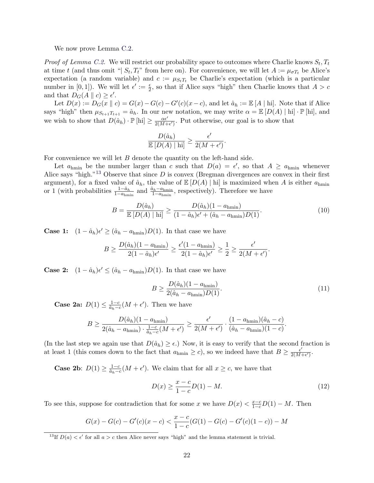We now prove Lemma [C.2.](#page-21-0)

*Proof of Lemma [C.2.](#page-21-0)* We will restrict our probability space to outcomes where Charlie knows  $S_t, T_t$ at time t (and thus omit "|  $S_t, T_t$ " from here on). For convenience, we will let  $A := \mu_{\sigma T_t}$  be Alice's expectation (a random variable) and  $c := \mu_{S_tT_t}$  be Charlie's expectation (which is a particular number in [0, 1]). We will let  $\epsilon' := \frac{\epsilon}{2}$ , so that if Alice says "high" then Charlie knows that  $A > c$ and that  $D_G(A \parallel c) \geq \epsilon'$ .

Let  $D(x) := D_G(x || c) = G(x) - G(c) - G'(c)(x - c)$ , and let  $\hat{a}_h := \mathbb{E}[A | \text{hi}]$ . Note that if Alice says "high" then  $\mu_{S_{t+1}T_{t+1}} = \hat{a}_h$ . In our new notation, we may write  $\alpha = \mathbb{E}\left[D(A) \mid \text{hi}\right] \cdot \mathbb{P}\left[\text{hi}\right]$ , and we wish to show that  $D(\hat{a}_h) \cdot \mathbb{P}[\text{hi}] \geq \frac{\alpha \epsilon'}{2(M+1)}$  $\frac{\alpha \epsilon'}{2(M+\epsilon')}$ . Put otherwise, our goal is to show that

$$
\frac{D(\hat{a}_h)}{\mathbb{E}\left[D(A)\mid \mathrm{hi}\right]} \ge \frac{\epsilon'}{2(M+\epsilon')}.
$$

For convenience we will let  $B$  denote the quantity on the left-hand side.

Let  $a_{\text{hmin}}$  be the number larger than c such that  $D(a) = \epsilon'$ , so that  $A \ge a_{\text{hmin}}$  whenever Alice says "high."<sup>[13](#page-22-0)</sup> Observe that since  $D$  is convex (Bregman divergences are convex in their first argument), for a fixed value of  $\hat{a}_h$ , the value of  $\mathbb{E}[D(A) | \text{hi}]$  is maximized when A is either  $a_{\text{hmin}}$ or 1 (with probabilities  $\frac{1-\hat{a}_h}{1-a_{\text{hmin}}}$  and  $\frac{\hat{a}_h-a_{\text{hmin}}}{1-a_{\text{hmin}}}$ , respectively). Therefore we have

$$
B = \frac{D(\hat{a}_h)}{\mathbb{E}\left[D(A) \mid \text{hi}\right]} \ge \frac{D(\hat{a}_h)(1 - a_{\text{hmin}})}{(1 - \hat{a}_h)\epsilon' + (\hat{a}_h - a_{\text{hmin}})D(1)}.\tag{10}
$$

**Case 1:**  $(1 - \hat{a}_h)\epsilon' \geq (\hat{a}_h - a_{hmin})D(1)$ . In that case we have

$$
B \ge \frac{D(\hat{a}_h)(1 - a_{\text{hmin}})}{2(1 - \hat{a}_h)\epsilon'} \ge \frac{\epsilon'(1 - a_{\text{hmin}})}{2(1 - \hat{a}_h)\epsilon'} \ge \frac{1}{2} \ge \frac{\epsilon'}{2(M + \epsilon')}.
$$

**Case 2:**  $(1 - \hat{a}_h)\epsilon' \leq (\hat{a}_h - a_{hmin})D(1)$ . In that case we have

<span id="page-22-2"></span>
$$
B \ge \frac{D(\hat{a}_h)(1 - a_{\text{hmin}})}{2(\hat{a}_h - a_{\text{hmin}})D(1)}.
$$
\n(11)

**Case 2a:**  $D(1) \leq \frac{1-c}{a}$  $\frac{1-c}{\hat{a}_h-c}(M+\epsilon')$ . Then we have

$$
B \ge \frac{D(\hat{a}_h)(1 - a_{\text{hmin}})}{2(\hat{a}_h - a_{\text{hmin}}) \cdot \frac{1 - c}{\hat{a}_h - c}(M + \epsilon')} \ge \frac{\epsilon'}{2(M + \epsilon')} \cdot \frac{(1 - a_{\text{hmin}})(\hat{a}_h - c)}{(\hat{a}_h - a_{\text{hmin}})(1 - c)}.
$$

(In the last step we again use that  $D(\hat{a}_h) \geq \epsilon$ .) Now, it is easy to verify that the second fraction is at least 1 (this comes down to the fact that  $a_{\text{hmin}} \geq c$ ), so we indeed have that  $B \geq \frac{\epsilon'}{2(M-1)}$  $\frac{\epsilon'}{2(M+\epsilon')}$ .

**Case 2b**:  $D(1) \ge \frac{1-c}{a}$  $\frac{1-c}{\hat{a}_h-c}(M+\epsilon')$ . We claim that for all  $x \geq c$ , we have that

<span id="page-22-1"></span>
$$
D(x) \ge \frac{x - c}{1 - c} D(1) - M.
$$
\n(12)

To see this, suppose for contradiction that for some x we have  $D(x) < \frac{x-c}{1-c}D(1) - M$ . Then

$$
G(x) - G(c) - G'(c)(x - c) < \frac{x - c}{1 - c}(G(1) - G(c) - G'(c)(1 - c)) - M
$$

<span id="page-22-0"></span><sup>&</sup>lt;sup>13</sup>If  $D(a) < \epsilon'$  for all  $a > c$  then Alice never says "high" and the lemma statement is trivial.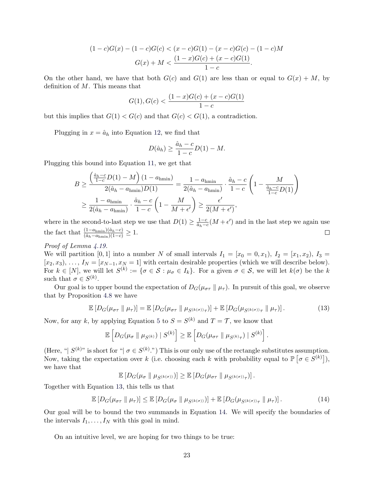$$
(1-c)G(x) - (1-c)G(c) < (x-c)G(1) - (x-c)G(c) - (1-c)M
$$
\n
$$
G(x) + M < \frac{(1-x)G(c) + (x-c)G(1)}{1-c}.
$$

On the other hand, we have that both  $G(c)$  and  $G(1)$  are less than or equal to  $G(x) + M$ , by definition of M. This means that

$$
G(1), G(c) < \frac{(1-x)G(c) + (x-c)G(1)}{1-c}
$$

but this implies that  $G(1) < G(c)$  and that  $G(c) < G(1)$ , a contradiction.

Plugging in  $x = \hat{a}_h$  into Equation [12,](#page-22-1) we find that

$$
D(\hat{a}_h) \ge \frac{\hat{a}_h - c}{1 - c} D(1) - M.
$$

Plugging this bound into Equation [11,](#page-22-2) we get that

$$
B \ge \frac{\left(\frac{\hat{a}_h - c}{1 - c}D(1) - M\right)(1 - a_{\text{hmin}})}{2(\hat{a}_h - a_{\text{hmin}})D(1)} = \frac{1 - a_{\text{hmin}}}{2(\hat{a}_h - a_{\text{hmin}})} \cdot \frac{\hat{a}_h - c}{1 - c} \left(1 - \frac{M}{\frac{\hat{a}_h - c}{1 - c}D(1)}\right)
$$
  

$$
\ge \frac{1 - a_{\text{hmin}}}{2(\hat{a}_h - a_{\text{hmin}})} \cdot \frac{\hat{a}_h - c}{1 - c} \left(1 - \frac{M}{M + \epsilon'}\right) \ge \frac{\epsilon'}{2(M + \epsilon')},
$$

where in the second-to-last step we use that  $D(1) \geq \frac{1-c}{\hat{a}}$  $\frac{1-c}{\hat{a}_h-c}(M+\epsilon')$  and in the last step we again use the fact that  $\frac{(1-a_{\text{hmin}})(\hat{a}_h-c)}{(\hat{a}_h-a_{\text{hmin}})(1-c)} \geq 1.$  $\Box$ 

### Proof of Lemma [4.19.](#page-14-1)

We will partition [0, 1] into a number N of small intervals  $I_1 = [x_0 = 0, x_1), I_2 = [x_1, x_2), I_3 =$  $[x_2, x_3), \ldots, I_N = [x_{N-1}, x_N = 1]$  with certain desirable properties (which we will describe below). For  $k \in [N]$ , we will let  $S^{(k)} := \{ \sigma \in \mathcal{S} : \mu_{\sigma} \in I_k \}$ . For a given  $\sigma \in \mathcal{S}$ , we will let  $k(\sigma)$  be the k such that  $\sigma \in S^{(k)}$ .

Our goal is to upper bound the expectation of  $D_G(\mu_{\sigma\tau} \parallel \mu_{\tau})$ . In pursuit of this goal, we observe that by Proposition [4.8](#page-11-0) we have

<span id="page-23-0"></span>
$$
\mathbb{E}\left[D_G(\mu_{\sigma\tau} \parallel \mu_{\tau})\right] = \mathbb{E}\left[D_G(\mu_{\sigma\tau} \parallel \mu_{S^{(k(\sigma))}\tau})\right] + \mathbb{E}\left[D_G(\mu_{S^{(k(\sigma))}\tau} \parallel \mu_{\tau})\right].\tag{13}
$$

Now, for any k, by applying Equation [5](#page-11-1) to  $S = S^{(k)}$  and  $T = \mathcal{T}$ , we know that

$$
\mathbb{E}\left[D_G(\mu_{\sigma} \parallel \mu_{S^{(k)}}) \mid S^{(k)}\right] \geq \mathbb{E}\left[D_G(\mu_{\sigma\tau} \parallel \mu_{S^{(k)}\tau}) \mid S^{(k)}\right].
$$

(Here, " $|S^{(k)}|$ " is short for " $|\sigma \in S^{(k)}$ .") This is our only use of the rectangle substitutes assumption. Now, taking the expectation over k (i.e. choosing each k with probability equal to  $\mathbb{P}[\sigma \in S^{(k)}]$ ), we have that

 $\mathbb{E}\left[D_G(\mu_{\sigma} \parallel \mu_{S^{(k(\sigma))}})\right] \geq \mathbb{E}\left[D_G(\mu_{\sigma \tau} \parallel \mu_{S^{(k(\sigma))} \tau})\right].$ 

Together with Equation [13,](#page-23-0) this tells us that

<span id="page-23-1"></span>
$$
\mathbb{E}\left[D_G(\mu_{\sigma\tau} \parallel \mu_{\tau})\right] \leq \mathbb{E}\left[D_G(\mu_{\sigma} \parallel \mu_{S^{(k(\sigma))}})\right] + \mathbb{E}\left[D_G(\mu_{S^{(k(\sigma))}\tau} \parallel \mu_{\tau})\right].
$$
\n(14)

Our goal will be to bound the two summands in Equation [14.](#page-23-1) We will specify the boundaries of the intervals  $I_1, \ldots, I_N$  with this goal in mind.

On an intuitive level, we are hoping for two things to be true: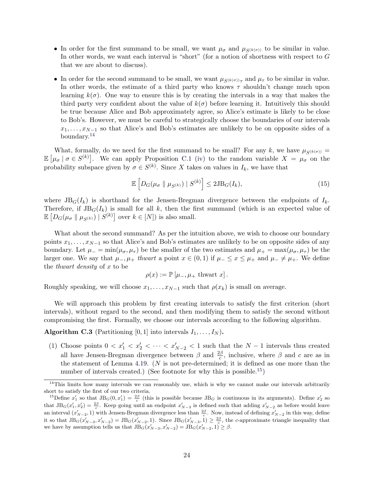- In order for the first summand to be small, we want  $\mu_{\sigma}$  and  $\mu_{S(k(\sigma))}$  to be similar in value. In other words, we want each interval is "short" (for a notion of shortness with respect to G that we are about to discuss).
- In order for the second summand to be small, we want  $\mu_{S^{(k(\sigma))}\tau}$  and  $\mu_{\tau}$  to be similar in value. In other words, the estimate of a third party who knows  $\tau$  shouldn't change much upon learning  $k(\sigma)$ . One way to ensure this is by creating the intervals in a way that makes the third party very confident about the value of  $k(\sigma)$  before learning it. Intuitively this should be true because Alice and Bob approximately agree, so Alice's estimate is likely to be close to Bob's. However, we must be careful to strategically choose the boundaries of our intervals  $x_1, \ldots, x_{N-1}$  so that Alice's and Bob's estimates are unlikely to be on opposite sides of a boundary.[14](#page-24-1)

What, formally, do we need for the first summand to be small? For any k, we have  $\mu_{S(k(\sigma))} =$  $\mathbb{E}[\mu_{\sigma} \mid \sigma \in S^{(k)}].$  We can apply Proposition [C.1](#page-19-2) [\(iv\)](#page-19-6) to the random variable  $X = \mu_{\sigma}$  on the probability subspace given by  $\sigma \in S^{(k)}$ . Since X takes on values in  $I_k$ , we have that

<span id="page-24-3"></span>
$$
\mathbb{E}\left[D_G(\mu_\sigma \parallel \mu_{S^{(k)}}) \mid S^{(k)}\right] \le 2JB_G(I_k),\tag{15}
$$

where  $J\text{B}_G(I_k)$  is shorthand for the Jensen-Bregman divergence between the endpoints of  $I_k$ . Therefore, if  $JB<sub>G</sub>(I<sub>k</sub>)$  is small for all k, then the first summand (which is an expected value of  $\mathbb{E}\left[D_G(\mu_{\sigma} \parallel \mu_{S^{(k)}}) \mid S^{(k)}\right]$  over  $k \in [N]$ ) is also small.

What about the second summand? As per the intuition above, we wish to choose our boundary points  $x_1, \ldots, x_{N-1}$  so that Alice's and Bob's estimates are unlikely to be on opposite sides of any boundary. Let  $\mu = \min(\mu_{\sigma}, \mu_{\tau})$  be the smaller of the two estimates and  $\mu_{+} = \max(\mu_{\sigma}, \mu_{\tau})$  be the larger one. We say that  $\mu_-, \mu_+$  thwart a point  $x \in (0,1)$  if  $\mu_- \le x \le \mu_+$  and  $\mu_- \ne \mu_+$ . We define the *thwart* density of  $x$  to be

$$
\rho(x) := \mathbb{P}\left[\mu_-, \mu_+ \text{thwart } x\right].
$$

Roughly speaking, we will choose  $x_1, \ldots, x_{N-1}$  such that  $\rho(x_k)$  is small on average.

We will approach this problem by first creating intervals to satisfy the first criterion (short intervals), without regard to the second, and then modifying them to satisfy the second without compromising the first. Formally, we choose our intervals according to the following algorithm.

<span id="page-24-0"></span>Algorithm C.3 (Partitioning [0, 1] into intervals  $I_1, \ldots, I_N$ ).

(1) Choose points  $0 < x'_1 < x'_2 < \cdots < x'_{N-2} < 1$  such that the  $N-1$  intervals thus created all have Jensen-Bregman divergence between  $\beta$  and  $\frac{2\beta}{c}$ , inclusive, where  $\beta$  and c are as in the statement of Lemma [4.19.](#page-14-1) ( $N$  is not pre-determined; it is defined as one more than the number of intervals created.) (See footnote for why this is possible.<sup>[15](#page-24-2)</sup>)

<span id="page-24-1"></span> $14$ This limits how many intervals we can reasonably use, which is why we cannot make our intervals arbitrarily short to satisfy the first of our two criteria.

<span id="page-24-2"></span><sup>&</sup>lt;sup>15</sup>Define  $x'_1$  so that  $JB_G(0, x'_1) = \frac{2\beta}{c}$  (this is possible because  $JB_G$  is continuous in its arguments). Define  $x'_2$  so that  $JB_G(x'_1, x'_2) = \frac{2\beta}{c}$ . Keep going until an endpoint  $x'_{N-3}$  is defined such that adding  $x'_{N-2}$  as before would leave an interval  $(x'_{N-2}, 1)$  with Jensen-Bregman divergence less than  $\frac{2\beta}{c}$ . Now, instead of defining  $x'_{N-2}$  in this way, define it so that  $\text{JB}_G(x'_{N-3}, x'_{N-2}) = \text{JB}_G(x'_{N-2}, 1)$ . Since  $\text{JB}_G(x'_{N-3}, 1) \ge \frac{2\beta}{c}$ , the c-approximate triangle inequality that we have by assumption tells us that  $JB_G(x'_{N-3}, x'_{N-2}) = JB_G(x'_{N-2}, 1) \ge \beta$ .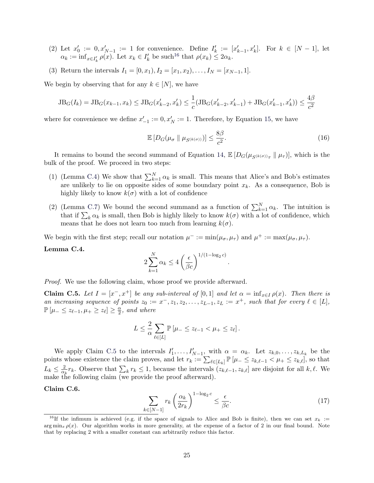- (2) Let  $x'_0 := 0, x'_{N-1} := 1$  for convenience. Define  $I'_k := [x'_{k-1}, x'_{k}]$ . For  $k \in [N-1]$ , let  $\alpha_k := \inf_{x \in I'_k} \rho(x)$ . Let  $x_k \in I'_k$  be such <sup>[16](#page-25-0)</sup> that  $\rho(x_k) \leq 2\alpha_k$ .
- (3) Return the intervals  $I_1 = [0, x_1), I_2 = [x_1, x_2), \ldots, I_N = [x_{N-1}, 1].$

We begin by observing that for any  $k \in [N]$ , we have

$$
JB_G(I_k) = JB_G(x_{k-1}, x_k) \leq JB_G(x'_{k-2}, x'_k) \leq \frac{1}{c}(JB_G(x'_{k-2}, x'_{k-1}) + JB_G(x'_{k-1}, x'_k)) \leq \frac{4\beta}{c^2}
$$

where for convenience we define  $x'_{-1} := 0, x'_{N} := 1$ . Therefore, by Equation [15,](#page-24-3) we have

<span id="page-25-5"></span>
$$
\mathbb{E}\left[D_G(\mu_{\sigma} \parallel \mu_{S^{(k(\sigma))}})\right] \le \frac{8\beta}{c^2}.\tag{16}
$$

.

It remains to bound the second summand of Equation [14,](#page-23-1)  $\mathbb{E}[D_G(\mu_{S^{(k(\sigma))}\tau} \parallel \mu_{\tau})]$ , which is the bulk of the proof. We proceed in two steps:

- (1) (Lemma [C.4\)](#page-25-1) We show that  $\sum_{k=1}^{N} \alpha_k$  is small. This means that Alice's and Bob's estimates are unlikely to lie on opposite sides of some boundary point  $x_k$ . As a consequence, Bob is highly likely to know  $k(\sigma)$  with a lot of confidence
- (2) (Lemma [C.7\)](#page-27-0) We bound the second summand as a function of  $\sum_{k=1}^{N} \alpha_k$ . The intuition is that if  $\sum_{k} \alpha_k$  is small, then Bob is highly likely to know  $k(\sigma)$  with a lot of confidence, which means that he does not learn too much from learning  $k(\sigma)$ .

We begin with the first step; recall our notation  $\mu^- := \min(\mu_\sigma, \mu_\tau)$  and  $\mu^+ := \max(\mu_\sigma, \mu_\tau)$ .

<span id="page-25-1"></span>Lemma C.4.

$$
2\sum_{k=1}^{N} \alpha_k \le 4\left(\frac{\epsilon}{\beta c}\right)^{1/(1-\log_2 c)}
$$

Proof. We use the following claim, whose proof we provide afterward.

<span id="page-25-2"></span>**Claim C.5.** Let  $I = [x^-, x^+]$  be any sub-interval of [0,1] and let  $\alpha = \inf_{x \in I} \rho(x)$ . Then there is an increasing sequence of points  $z_0 := x^-, z_1, z_2, \ldots, z_{L-1}, z_L := x^+,$  such that for every  $\ell \in [L],$  $\mathbb{P}\left[\mu_{-} \leq z_{\ell-1}, \mu_{+} \geq z_{\ell}\right] \geq \frac{\alpha}{2}$  $\frac{\alpha}{2}$ , and where

$$
L \leq \frac{2}{\alpha} \sum_{\ell \in [L]} \mathbb{P}\left[\mu_{-} \leq z_{\ell-1} < \mu_{+} \leq z_{\ell}\right].
$$

We apply Claim [C.5](#page-25-2) to the intervals  $I'_1, \ldots, I'_{N-1}$ , with  $\alpha = \alpha_k$ . Let  $z_{k,0}, \ldots, z_{k,L_k}$  be the points whose existence the claim proves, and let  $r_k := \sum_{\ell \in [L_k]} \mathbb{P}[\mu_{-} \leq z_{k,\ell-1} < \mu_{+} \leq z_{k,\ell}],$  so that  $L_k \leq \frac{2}{\alpha}$  $\frac{2}{\alpha_k} r_k$ . Observe that  $\sum_k r_k \leq 1$ , because the intervals  $(z_{k,\ell-1}, z_{k,\ell}]$  are disjoint for all  $k, \ell$ . We make the following claim (we provide the proof afterward).

### <span id="page-25-4"></span>Claim C.6.

<span id="page-25-3"></span>
$$
\sum_{k \in [N-1]} r_k \left(\frac{\alpha_k}{2r_k}\right)^{1 - \log_2 c} \le \frac{\epsilon}{\beta c}.\tag{17}
$$

<span id="page-25-0"></span><sup>&</sup>lt;sup>16</sup>If the infimum is achieved (e.g. if the space of signals to Alice and Bob is finite), then we can set  $x_k :=$  $\arg \min_x \rho(x)$ . Our algorithm works in more generality, at the expense of a factor of 2 in our final bound. Note that by replacing 2 with a smaller constant can arbitrarily reduce this factor.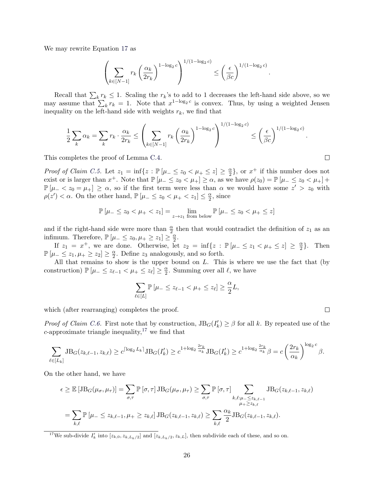We may rewrite Equation [17](#page-25-3) as

$$
\left(\sum_{k\in[N-1]}r_k\left(\frac{\alpha_k}{2r_k}\right)^{1-\log_2c}\right)^{1/(1-\log_2c)} \leq \left(\frac{\epsilon}{\beta c}\right)^{1/(1-\log_2c)}.
$$

Recall that  $\sum_{k} r_k \leq 1$ . Scaling the  $r_k$ 's to add to 1 decreases the left-hand side above, so we may assume that  $\sum_{k} r_k = 1$ . Note that  $x^{1-\log_2 c}$  is convex. Thus, by using a weighted Jensen inequality on the left-hand side with weights  $r_k$ , we find that

$$
\frac{1}{2}\sum_{k}\alpha_k = \sum_{k}r_k \cdot \frac{\alpha_k}{2r_k} \le \left(\sum_{k\in[N-1]}r_k\left(\frac{\alpha_k}{2r_k}\right)^{1-\log_2 c}\right)^{1/(1-\log_2 c)} \le \left(\frac{\epsilon}{\beta c}\right)^{1/(1-\log_2 c)}.
$$

This completes the proof of Lemma [C.4.](#page-25-1)

Proof of Claim [C.5.](#page-25-2) Let  $z_1 = \inf\{z : \mathbb{P}[\mu_z \leq z_0 < \mu_z \leq z] \geq \frac{\alpha}{2}\}$  $\frac{\alpha}{2}$ , or  $x^+$  if this number does not exist or is larger than  $x^+$ . Note that  $\mathbb{P}[\mu_{-} \leq z_0 < \mu_{+}] \geq \alpha$ , as we have  $\rho(z_0) = \mathbb{P}[\mu_{-} \leq z_0 < \mu_{+}] +$  $\mathbb{P}[\mu_{-}, so if the first term were less than  $\alpha$  we would have some  $z'>z_0$  with$  $\rho(z') < \alpha$ . On the other hand,  $\mathbb{P}[\mu_{-} \leq z_0 < \mu_{+} < z_1] \leq \frac{\alpha}{2}$  $\frac{\alpha}{2}$ , since

$$
\mathbb{P}\left[\mu_{-} \leq z_0 < \mu_{+} < z_1\right] = \lim_{z \to z_1 \text{ from below}} \mathbb{P}\left[\mu_{-} \leq z_0 < \mu_{+} \leq z\right]
$$

and if the right-hand side were more than  $\frac{\alpha}{2}$  then that would contradict the definition of  $z_1$  as an infimum. Therefore,  $\mathbb{P}[\mu \leq z_0, \mu_{+} \geq z_1] \geq \frac{\alpha}{2}$  $\frac{\alpha}{2}$ .

If  $z_1 = x^+$ , we are done. Otherwise, let  $z_2 = \inf\{z : \mathbb{P}[\mu_- \leq z_1 < \mu_+ \leq z] \geq \frac{\alpha}{2}\}$  $\frac{\alpha}{2}$ . Then  $\mathbb{P}\left[\mu_{-} \leq z_1, \mu_{+} \geq z_2\right] \geq \frac{\alpha}{2}$  $\frac{\alpha}{2}$ . Define  $z_3$  analogously, and so forth.

All that remains to show is the upper bound on  $L$ . This is where we use the fact that (by construction)  $\mathbb{P}\left[\mu_{-} \leq z_{\ell-1} < \mu_{+} \leq z_{\ell}\right] \geq \frac{\alpha}{2}$  $\frac{\alpha}{2}$ . Summing over all  $\ell$ , we have

$$
\sum_{\ell \in [L]} \mathbb{P}\left[\mu_{-} \leq z_{\ell-1} < \mu_{+} \leq z_{\ell}\right] \geq \frac{\alpha}{2}L,
$$

which (after rearranging) completes the proof.

*Proof of Claim [C.6.](#page-25-4)* First note that by construction,  $JB<sub>G</sub>(I'<sub>k</sub>) \geq \beta$  for all k. By repeated use of the  $c$ -approximate triangle inequality,<sup>[17](#page-26-0)</sup> we find that

$$
\sum_{\ell \in [L_k]} \mathrm{JB}_G(z_{k,\ell-1},z_{k,\ell}) \ge c^{\lceil \log_2 L_k \rceil} \mathrm{JB}_G(I_k') \ge c^{1+\log_2 \frac{2r_k}{\alpha_k}} \mathrm{JB}_G(I_k') \ge c^{1+\log_2 \frac{2r_k}{\alpha_k}} \beta = c \left(\frac{2r_k}{\alpha_k}\right)^{\log_2 c} \beta.
$$

On the other hand, we have

$$
\epsilon \geq \mathbb{E}\left[\text{JB}_{G}(\mu_{\sigma}, \mu_{\tau})\right] = \sum_{\sigma, \tau} \mathbb{P}\left[\sigma, \tau\right] \text{JB}_{G}(\mu_{\sigma}, \mu_{\tau}) \geq \sum_{\sigma, \tau} \mathbb{P}\left[\sigma, \tau\right] \sum_{\substack{k, \ell:\mu_{-} \leq z_{k,\ell-1} \\ \mu_{+} \geq z_{k,\ell}}} \text{JB}_{G}(z_{k,\ell-1}, z_{k,\ell})
$$

$$
= \sum_{k, \ell} \mathbb{P}\left[\mu_{-} \leq z_{k,\ell-1}, \mu_{+} \geq z_{k,\ell}\right] \text{JB}_{G}(z_{k,\ell-1}, z_{k,\ell}) \geq \sum_{k, \ell} \frac{\alpha_{k}}{2} \text{JB}_{G}(z_{k,\ell-1}, z_{k,\ell}).
$$

<span id="page-26-0"></span><sup>17</sup>We sub-divide  $I'_k$  into  $[z_{k,0}, z_{k,L_k/2}]$  and  $[z_{k,L_k/2}, z_{k,L}],$  then subdivide each of these, and so on.

 $\Box$ 

 $\Box$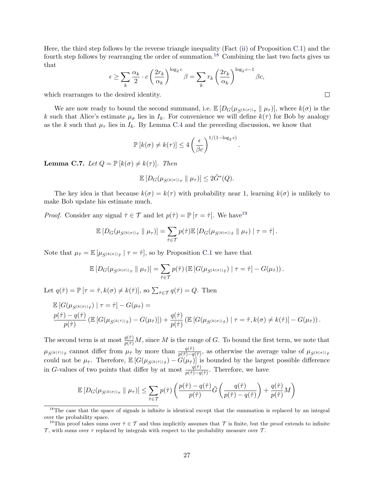Here, the third step follows by the reverse triangle inequality (Fact [\(ii\)](#page-19-4) of Proposition [C.1\)](#page-19-2) and the fourth step follows by rearranging the order of summation.<sup>[18](#page-27-1)</sup> Combining the last two facts gives us that

$$
\epsilon \ge \sum_{k} \frac{\alpha_k}{2} \cdot c \left(\frac{2r_k}{\alpha_k}\right)^{\log_2 c} \beta = \sum_{k} r_k \left(\frac{2r_k}{\alpha_k}\right)^{\log_2 c - 1} \beta c,
$$

which rearranges to the desired identity.

We are now ready to bound the second summand, i.e.  $\mathbb{E}[D_G(\mu_{S^{(k(\sigma))}\tau} \parallel \mu_{\tau})]$ , where  $k(\sigma)$  is the k such that Alice's estimate  $\mu_{\sigma}$  lies in  $I_k$ . For convenience we will define  $k(\tau)$  for Bob by analogy as the k such that  $\mu_{\tau}$  lies in  $I_k$ . By Lemma [C.4](#page-25-1) and the preceding discussion, we know that

$$
\mathbb{P}\left[k(\sigma) \neq k(\tau)\right] \le 4 \left(\frac{\epsilon}{\beta c}\right)^{1/(1-\log_2 c)}
$$

.

<span id="page-27-0"></span>**Lemma C.7.** Let  $Q = \mathbb{P} [k(\sigma) \neq k(\tau)].$  Then

$$
\mathbb{E}\left[D_G(\mu_{S^{(k(\sigma))}\tau}\parallel \mu_{\tau})\right] \leq 2\tilde{G}^*(Q).
$$

The key idea is that because  $k(\sigma) = k(\tau)$  with probability near 1, learning  $k(\sigma)$  is unlikely to make Bob update his estimate much.

*Proof.* Consider any signal  $\hat{\tau} \in \mathcal{T}$  and let  $p(\hat{\tau}) = \mathbb{P}[\tau = \hat{\tau}]$ . We have <sup>[19](#page-27-2)</sup>

$$
\mathbb{E}\left[D_G(\mu_{S^{(k(\sigma))}\tau}\parallel\mu_{\tau})\right]=\sum_{\hat{\tau}\in\mathcal{T}}p(\hat{\tau})\mathbb{E}\left[D_G(\mu_{S^{(k(\sigma))}\hat{\tau}}\parallel\mu_{\hat{\tau}})\mid\tau=\hat{\tau}\right].
$$

Note that  $\mu_{\hat{\tau}} = \mathbb{E} \left[ \mu_{S^{(k(\sigma))} \hat{\tau}} \mid \tau = \hat{\tau} \right]$ , so by Proposition [C.1](#page-19-2) we have that

$$
\mathbb{E}\left[D_G(\mu_{S^{(k(\sigma))}\tau}\parallel\mu_{\tau})\right]=\sum_{\hat{\tau}\in\mathcal{T}}p(\hat{\tau})\left(\mathbb{E}\left[G(\mu_{S^{(k(\sigma))}\hat{\tau}})\mid\tau=\hat{\tau}\right]-G(\mu_{\hat{\tau}})\right).
$$

Let  $q(\hat{\tau}) = \mathbb{P}[\tau = \hat{\tau}, k(\sigma) \neq k(\hat{\tau})],$  so  $\sum_{\hat{\tau} \in \mathcal{T}} q(\hat{\tau}) = Q$ . Then

$$
\mathbb{E}\left[G(\mu_{S^{(k(\sigma))}\hat{\tau}})\mid \tau=\hat{\tau}\right]-G(\mu_{\hat{\tau}})=\n\frac{p(\hat{\tau})-q(\hat{\tau})}{p(\hat{\tau})}\left(\mathbb{E}\left[G(\mu_{S^{(k(\hat{\tau}))}\hat{\tau}})-G(\mu_{\hat{\tau}})\right]\right)+\n\frac{q(\hat{\tau})}{p(\hat{\tau})}\left(\mathbb{E}\left[G(\mu_{S^{(k(\sigma))}\hat{\tau}})\mid \tau=\hat{\tau},k(\sigma)\neq k(\hat{\tau})\right]-G(\mu_{\hat{\tau}})\right).
$$

The second term is at most  $\frac{q(\hat{\tau})}{p(\hat{\tau})}M$ , since M is the range of G. To bound the first term, we note that  $\mu_{S^{(k(\tilde{\tau}))}\hat{\tau}}$  cannot differ from  $\mu_{\hat{\tau}}$  by more than  $\frac{q(\hat{\tau})}{p(\hat{\tau})-q(\hat{\tau})}$ , as otherwise the average value of  $\mu_{S^{(k(\sigma))}\hat{\tau}}$ could not be  $\mu_{\hat{\tau}}$ . Therefore,  $\mathbb{E}\left[G(\mu_{S^{(k(\hat{\tau}))}\hat{\tau}})-G(\mu_{\hat{\tau}})\right]$  is bounded by the largest possible difference in G-values of two points that differ by at most  $\frac{q(\hat{\tau})}{p(\hat{\tau})-q(\hat{\tau})}$ . Therefore, we have

$$
\mathbb{E}\left[D_G(\mu_{S^{(k(\sigma))}\tau} \parallel \mu_{\tau})\right] \leq \sum_{\hat{\tau}\in\mathcal{T}} p(\hat{\tau}) \left(\frac{p(\hat{\tau}) - q(\hat{\tau})}{p(\hat{\tau})}\tilde{G}\left(\frac{q(\hat{\tau})}{p(\hat{\tau}) - q(\hat{\tau})}\right) + \frac{q(\hat{\tau})}{p(\hat{\tau})}M\right)
$$

<span id="page-27-1"></span> $18$ The case that the space of signals is infinite is identical except that the summation is replaced by an integral over the probability space.

<span id="page-27-2"></span><sup>&</sup>lt;sup>19</sup>This proof takes sums over  $\hat{\tau} \in \mathcal{T}$  and thus implicitly assumes that  $\mathcal{T}$  is finite, but the proof extends to infinite  $\tau$ , with sums over  $\tau$  replaced by integrals with respect to the probability measure over  $\tau$ .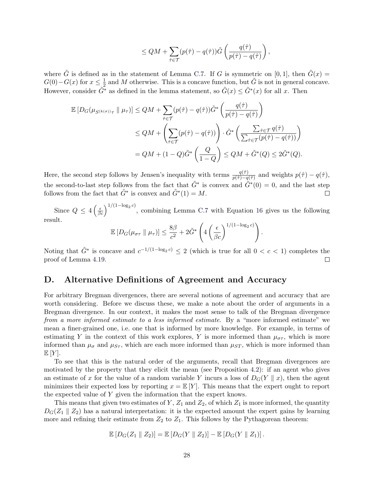$$
\leq QM + \sum_{\hat{\tau}\in\mathcal{T}} (p(\hat{\tau}) - q(\hat{\tau}))\tilde{G}\left(\frac{q(\hat{\tau})}{p(\hat{\tau}) - q(\hat{\tau})}\right),
$$

where  $\tilde{G}$  is defined as in the statement of Lemma [C.7.](#page-27-0) If G is symmetric on [0,1], then  $\tilde{G}(x)$  =  $G(0)-G(x)$  for  $x\leq \frac{1}{2}$  $\frac{1}{2}$  and M otherwise. This is a concave function, but  $\tilde{G}$  is not in general concave. However, consider  $\tilde{G}^*$  as defined in the lemma statement, so  $\tilde{G}(x) \leq \tilde{G}^*(x)$  for all x. Then

$$
\mathbb{E}\left[D_G(\mu_{S^{(k(\sigma))}\tau} \parallel \mu_{\tau})\right] \le QM + \sum_{\hat{\tau} \in \mathcal{T}} (p(\hat{\tau}) - q(\hat{\tau})) \tilde{G}^* \left(\frac{q(\hat{\tau})}{p(\hat{\tau}) - q(\hat{\tau})}\right)
$$
  

$$
\le QM + \left(\sum_{\hat{\tau} \in \mathcal{T}} (p(\hat{\tau}) - q(\hat{\tau}))\right) \cdot \tilde{G}^* \left(\frac{\sum_{\hat{\tau} \in \mathcal{T}} q(\hat{\tau})}{\sum_{\hat{\tau} \in \mathcal{T}} (p(\hat{\tau}) - q(\hat{\tau}))}\right)
$$
  

$$
= QM + (1 - Q)\tilde{G}^* \left(\frac{Q}{1 - Q}\right) \le QM + \tilde{G}^*(Q) \le 2\tilde{G}^*(Q).
$$

Here, the second step follows by Jensen's inequality with terms  $\frac{q(\hat{\tau})}{p(\hat{\tau})-q(\hat{\tau})}$  and weights  $p(\hat{\tau})-q(\hat{\tau})$ , the second-to-last step follows from the fact that  $\tilde{G}^*$  is convex and  $\tilde{G}^*(0) = 0$ , and the last step follows from the fact that  $\tilde{G}^*$  is convex and  $\tilde{G}^*(1) = M$ .  $\Box$ 

Since  $Q \leq 4 \left(\frac{\epsilon}{\beta c}\right)^{1/(1-\log_2 c)}$ , combining Lemma [C.7](#page-27-0) with Equation [16](#page-25-5) gives us the following result.

$$
\mathbb{E}\left[D_G(\mu_{\sigma\tau} \parallel \mu_{\tau})\right] \leq \frac{8\beta}{c^2} + 2\tilde{G}^*\left(4\left(\frac{\epsilon}{\beta c}\right)^{1/(1-\log_2 c)}\right).
$$

Noting that  $\tilde{G}^*$  is concave and  $c^{-1/(1-\log_2 c)} \leq 2$  (which is true for all  $0 < c < 1$ ) completes the proof of Lemma [4.19.](#page-14-1)  $\Box$ 

# <span id="page-28-0"></span>D. Alternative Definitions of Agreement and Accuracy

For arbitrary Bregman divergences, there are several notions of agreement and accuracy that are worth considering. Before we discuss these, we make a note about the order of arguments in a Bregman divergence. In our context, it makes the most sense to talk of the Bregman divergence from a more informed estimate to a less informed estimate. By a "more informed estimate" we mean a finer-grained one, i.e. one that is informed by more knowledge. For example, in terms of estimating Y in the context of this work explores, Y is more informed than  $\mu_{\sigma\tau}$ , which is more informed than  $\mu_{\sigma}$  and  $\mu_{S_{\tau}}$ , which are each more informed than  $\mu_{ST}$ , which is more informed than  $E[Y]$ .

To see that this is the natural order of the arguments, recall that Bregman divergences are motivated by the property that they elicit the mean (see Proposition [4.2\)](#page-10-3): if an agent who gives an estimate of x for the value of a random variable Y incurs a loss of  $D_G(Y \parallel x)$ , then the agent minimizes their expected loss by reporting  $x = \mathbb{E}[Y]$ . This means that the expert ought to report the expected value of  $Y$  given the information that the expert knows.

This means that given two estimates of Y,  $Z_1$  and  $Z_2$ , of which  $Z_1$  is more informed, the quantity  $D_G(Z_1 \parallel Z_2)$  has a natural interpretation: it is the expected amount the expert gains by learning more and refining their estimate from  $Z_2$  to  $Z_1$ . This follows by the Pythagorean theorem:

$$
\mathbb{E}\left[D_G(Z_1 \parallel Z_2)\right] = \mathbb{E}\left[D_G(Y \parallel Z_2)\right] - \mathbb{E}\left[D_G(Y \parallel Z_1)\right].
$$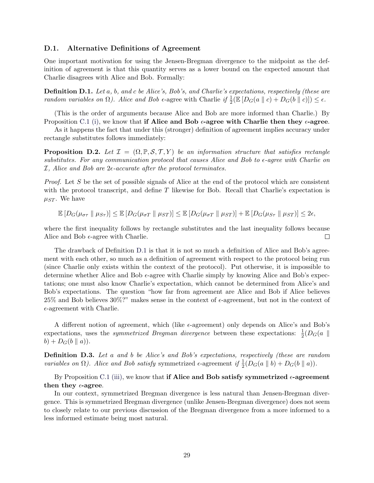### D.1. Alternative Definitions of Agreement

One important motivation for using the Jensen-Bregman divergence to the midpoint as the definition of agreement is that this quantity serves as a lower bound on the expected amount that Charlie disagrees with Alice and Bob. Formally:

<span id="page-29-0"></span>Definition D.1. Let a, b, and c be Alice's, Bob's, and Charlie's expectations, respectively (these are random variables on  $\Omega$ ). Alice and Bob  $\epsilon$ -agree with Charlie if  $\frac{1}{2}(\mathbb{E}\left[D_G(a \parallel c) + D_G(b \parallel c)\right]) \leq \epsilon$ .

(This is the order of arguments because Alice and Bob are more informed than Charlie.) By Proposition [C.1](#page-19-2) [\(i\),](#page-19-3) we know that if Alice and Bob  $\epsilon$ -agree with Charlie then they  $\epsilon$ -agree.

As it happens the fact that under this (stronger) definition of agreement implies accuracy under rectangle substitutes follows immediately:

**Proposition D.2.** Let  $\mathcal{I} = (\Omega, \mathbb{P}, \mathcal{S}, \mathcal{T}, Y)$  be an information structure that satisfies rectangle substitutes. For any communication protocol that causes Alice and Bob to  $\epsilon$ -agree with Charlie on  $I$ , Alice and Bob are  $2\epsilon$ -accurate after the protocol terminates.

Proof. Let S be the set of possible signals of Alice at the end of the protocol which are consistent with the protocol transcript, and define  $T$  likewise for Bob. Recall that Charlie's expectation is  $\mu_{ST}$ . We have

$$
\mathbb{E}\left[D_G(\mu_{\sigma\tau} \parallel \mu_{S\tau})\right] \leq \mathbb{E}\left[D_G(\mu_{\sigma T} \parallel \mu_{ST})\right] \leq \mathbb{E}\left[D_G(\mu_{\sigma T} \parallel \mu_{ST})\right] + \mathbb{E}\left[D_G(\mu_{S\tau} \parallel \mu_{ST})\right] \leq 2\epsilon,
$$

where the first inequality follows by rectangle substitutes and the last inequality follows because Alice and Bob  $\epsilon$ -agree with Charlie.  $\Box$ 

The drawback of Definition [D.1](#page-29-0) is that it is not so much a definition of Alice and Bob's agreement with each other, so much as a definition of agreement with respect to the protocol being run (since Charlie only exists within the context of the protocol). Put otherwise, it is impossible to determine whether Alice and Bob  $\epsilon$ -agree with Charlie simply by knowing Alice and Bob's expectations; one must also know Charlie's expectation, which cannot be determined from Alice's and Bob's expectations. The question "how far from agreement are Alice and Bob if Alice believes  $25\%$  and Bob believes  $30\%$ ?" makes sense in the context of  $\epsilon$ -agreement, but not in the context of  $\epsilon$ -agreement with Charlie.

A different notion of agreement, which (like  $\epsilon$ -agreement) only depends on Alice's and Bob's expectations, uses the *symmetrized Bregman divergence* between these expectations:  $\frac{1}{2}(D_G(a \parallel$  $b) + D_G(b || a)).$ 

Definition D.3. Let a and b be Alice's and Bob's expectations, respectively (these are random variables on  $\Omega$ ). Alice and Bob satisfy symmetrized  $\epsilon$ -agreement if  $\frac{1}{2}(D_G(a \parallel b) + D_G(b \parallel a))$ .

By Proposition [C.1](#page-19-2) [\(iii\),](#page-19-5) we know that **if Alice and Bob satisfy symmetrized**  $\epsilon$ **-agreement** then they  $\epsilon$ -agree.

In our context, symmetrized Bregman divergence is less natural than Jensen-Bregman divergence. This is symmetrized Bregman divergence (unlike Jensen-Bregman divergence) does not seem to closely relate to our previous discussion of the Bregman divergence from a more informed to a less informed estimate being most natural.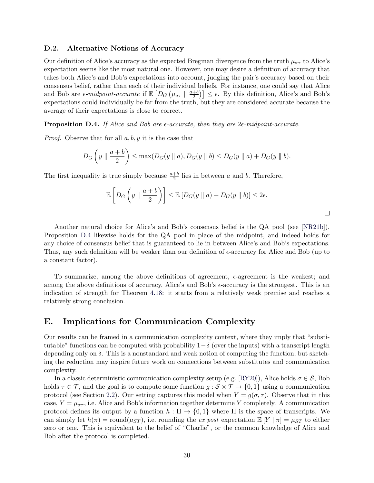### D.2. Alternative Notions of Accuracy

Our definition of Alice's accuracy as the expected Bregman divergence from the truth  $\mu_{\sigma\tau}$  to Alice's expectation seems like the most natural one. However, one may desire a definition of accuracy that takes both Alice's and Bob's expectations into account, judging the pair's accuracy based on their consensus belief, rather than each of their individual beliefs. For instance, one could say that Alice and Bob are  $\epsilon$ -midpoint-accurate if  $\mathbb{E}\left[D_G\left(\mu_{\sigma\tau}\parallel\frac{a+b}{2}\right)\right]$  $\left(\frac{1}{2}b\right)$   $\leq$   $\epsilon$ . By this definition, Alice's and Bob's expectations could individually be far from the truth, but they are considered accurate because the average of their expectations is close to correct.

<span id="page-30-1"></span>**Proposition D.4.** If Alice and Bob are  $\epsilon$ -accurate, then they are  $2\epsilon$ -midpoint-accurate.

*Proof.* Observe that for all  $a, b, y$  it is the case that

$$
D_G\left(y \parallel \frac{a+b}{2}\right) \le \max(D_G(y \parallel a), D_G(y \parallel b) \le D_G(y \parallel a) + D_G(y \parallel b).
$$

The first inequality is true simply because  $\frac{a+b}{2}$  lies in between a and b. Therefore,

$$
\mathbb{E}\left[D_G\left(y\parallel\frac{a+b}{2}\right)\right]\leq \mathbb{E}\left[D_G(y\parallel a)+D_G(y\parallel b)\right]\leq 2\epsilon.
$$

 $\Box$ 

Another natural choice for Alice's and Bob's consensus belief is the QA pool (see [\[NR21b\]](#page-16-13)). Proposition [D.4](#page-30-1) likewise holds for the QA pool in place of the midpoint, and indeed holds for any choice of consensus belief that is guaranteed to lie in between Alice's and Bob's expectations. Thus, any such definition will be weaker than our definition of  $\epsilon$ -accuracy for Alice and Bob (up to a constant factor).

To summarize, among the above definitions of agreement,  $\epsilon$ -agreement is the weakest; and among the above definitions of accuracy, Alice's and Bob's  $\epsilon$ -accuracy is the strongest. This is an indication of strength for Theorem [4.18:](#page-14-0) it starts from a relatively weak premise and reaches a relatively strong conclusion.

### <span id="page-30-0"></span>E. Implications for Communication Complexity

Our results can be framed in a communication complexity context, where they imply that "substitutable" functions can be computed with probability  $1-\delta$  (over the inputs) with a transcript length depending only on  $\delta$ . This is a nonstandard and weak notion of computing the function, but sketching the reduction may inspire future work on connections between substitutes and communication complexity.

In a classic deterministic communication complexity setup (e.g. [\[RY20\]](#page-16-2)), Alice holds  $\sigma \in \mathcal{S}$ , Bob holds  $\tau \in \mathcal{T}$ , and the goal is to compute some function  $g : \mathcal{S} \times \mathcal{T} \to \{0,1\}$  using a communication protocol (see Section [2.2\)](#page-3-1). Our setting captures this model when  $Y = g(\sigma, \tau)$ . Observe that in this case,  $Y = \mu_{\sigma\tau}$ , i.e. Alice and Bob's information together determine Y completely. A communication protocol defines its output by a function  $h : \Pi \to \{0,1\}$  where  $\Pi$  is the space of transcripts. We can simply let  $h(\pi) = \text{round}(\mu_{ST})$ , i.e. rounding the ex post expectation  $\mathbb{E}[Y | \pi] = \mu_{ST}$  to either zero or one. This is equivalent to the belief of "Charlie", or the common knowledge of Alice and Bob after the protocol is completed.